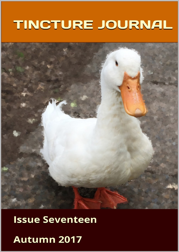# TINCTURE JOURNAL



# **Issue Seventeen**

Autumn 2017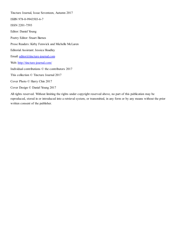Tincture Journal, Issue Seventeen, Autumn 2017 ISBN 978-0-9943503-6-7 ISSN 2201-7593 Editor: Daniel Young Poetry Editor: Stuart Barnes Prose Readers: Kirby Fenwick and Michelle McLaren Editorial Assistant: Jessica Hoadley Email: [editor@tincture-journal.com](mailto:editor@tincture-journal.com) Web: <http://tincture-journal.com/> Individual contributions © the contributors 2017 This collection © Tincture Journal 2017 Cover Photo © Harry Chin 2017 Cover Design © Daniel Young 2017

All rights reserved. Without limiting the rights under copyright reserved above, no part of this publication may be reproduced, stored in or introduced into a retrieval system, or transmitted, in any form or by any means without the prior written consent of the publisher.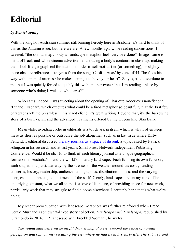### **Editorial**

#### *by Daniel Young*

With the long hot Australian summer still burning fiercely here in Brisbane, it's hard to think of this as the Autumn issue, but here we are. A few months ago, while reading submissions, I tweeted: "the skin as map / body as landscape metaphor feels very overdone". Images came to mind of black-and-white cinema advertisements tracing a body's contours in close-up, making them look like geographical formations in order to sell moisturiser (or something); or slightly more obscure references like lyrics from the song 'Cardiac Atlas' by June of 44: "he finds his way with a map of arteries / he makes camp just above your heart". So yes, it felt overdone to me, but I was quickly forced to qualify this with another tweet: "but I'm reading a piece by someone who's doing it well, so who cares?"

Who cares, indeed. I was tweeting about the opening of Charlotte Adderley's non-fictional 'Ethanol, Eschar', which executes what could be a tired metaphor so beautifully that the first few paragraphs left me breathless. This is not cliché, it's great writing. Beyond that, it's the harrowing story of a burn victim and the advanced treatments offered by the Queensland Skin Bank.

Meanwhile, avoiding cliché in editorials is a tough ask in itself, which is why I often keep these as short as possible or outsource the job altogether, such as in last issue where Kirby Fenwick's editorial discussed <u>literary journals as a space of dissent</u>, a topic raised by Patrick Allington in his research and at last year's Small Press Network Independent Publishing Conference. Would it be clichéd to think of each literary journal as a unique geographical formation in Australia's—and the world's—literary landscape? Each fulfilling its own function, each shaped in a particular way by the stresses of the weather around us: costs, funding concerns, history, readership, audience demographics, distribution models, and the varying energies and competing commitments of the staff. Clearly, landscapes are on my mind. The underlying constant, what we all share, is a love of literature, of providing space for new work, particularly work that may struggle to find a home elsewhere. I certainly hope that's what we're doing.

My recent preoccupation with landscape metaphors was further reinforced when I read Gerald Murnane's somewhat-linked story collection, *Landscape with Landscape*, republished by Giramondo in 2016. In 'Landscape with Freckled Woman', he writes:

*The young man believed he might draw a map of a city beyond the reach of normal perception and only faintly recalling the city where he had lived his early life. The suburbs and*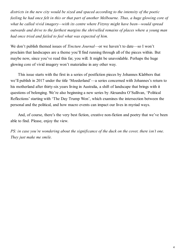*districts in the new city would be sized and spaced according to the intensity of the poetic feeling he had once felt in this or that part of another Melbourne. Thus, a huge glowing core of what he called vivid imagery—with its centre where Fitzroy might have been—would spread outwards and drive to the farthest margins the shrivelled remains of places where a young man had once tried and failed to feel what was expected of him.*

We don't publish themed issues of *Tincture Journal*—or we haven't to date—so I won't proclaim that landscapes are a theme you'll find running through all of the pieces within. But maybe now, since you've read this far, you will. It might be unavoidable. Perhaps the huge glowing core of vivid imagery won't materialise in any other way.

This issue starts with the first in a series of postfiction pieces by Johannes Klabbers that we'll publish in 2017 under the title 'Moederland'—a series concerned with Johannes's return to his motherland after thirty-six years living in Australia, a shift of landscape that brings with it questions of belonging. We're also beginning a new series by Alexandra O'Sullivan, 'Political Reflections' starting with 'The Day Trump Won', which examines the intersection between the personal and the political, and how macro events can impact our lives in myriad ways.

And, of course, there's the very best fiction, creative non-fiction and poetry that we've been able to find. Please, enjoy the view.

*PS: in case you're wondering about the significance of the duck on the cover, there isn't one. They just make me smile.*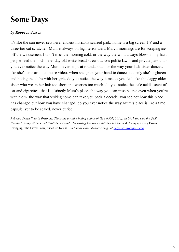### **Some Days**

#### *by Rebecca Jessen*

it's like the sun never sets here. endless horizons scarred pink. home is a big screen TV and a three-tier cat scratcher. Mum is always on high terror alert. March mornings are for scraping ice off the windscreen. I don't miss the morning cold. or the way the wind always blows in my hair. people feed the birds here. day old white bread strewn across public lawns and private parks. do you ever notice the way Mum never stops at roundabouts. or the way your little sister dances. like she's an extra in a music video. when she grabs your hand to dance suddenly she's eighteen and hitting the clubs with her girls. do you notice the way it makes you feel. like the daggy older sister who wears her hair too short and worries too much. do you notice the stale acidic scent of cat and cigarettes. that is distinctly Mum's place. the way you can miss people even when you're with them. the way that visiting home can take you back a decade. you see not how this place has changed but how you have changed. do you ever notice the way Mum's place is like a time capsule. yet to be sealed. never buried.

*Rebecca Jessen lives in Brisbane. She is the award-winning author of* Gap *(UQP, 2014). In 2015 she won the QLD Premier's Young Writers and Publishers Award. Her writing has been published in* Overland*,* Meanjin*,* Going Down Swinging*,* The Lifted Brow*,* Tincture Journal*, and many more. Rebecca blogs at [becjessen.wordpress.com.](https://becjessen.wordpress.com/)*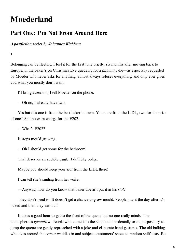### **Moederland**

### **Part One: I'm Not From Around Here**

*A postfiction series by Johannes Klabbers*

**I**

Belonging can be fleeting. I feel it for the first time briefly, six months after moving back to Europe, in the baker's on Christmas Eve queueing for a *tulband* cake—as especially requested by Moeder who never asks for anything, almost always refuses everything, and only ever gives you what you mostly don't want.

I'll bring a *stol* too, I tell Moeder on the phone.

—Oh no, I already have two.

Yes but this one is from the best baker in town. Yours are from the LIDL, two for the price of one? And no extra charge for the E202.

—What's E202?

It stops mould growing.

—Oh I should get some for the bathroom!

That deserves an audible giggle. I dutifully oblige.

Maybe you should keep your *stol* from the LIDL there!

I can tell she's smiling from her voice.

—Anyway, how do you know that baker doesn't put it in his *stol*?

They don't need to. It doesn't get a chance to grow mould. People buy it the day after it's baked and then they eat it all!

It takes a good hour to get to the front of the queue but no one really minds. The atmosphere is *gemutlich*. People who come into the shop and accidentally or on purpose try to jump the queue are gently reproached with a joke and elaborate hand gestures. The old bulldog who lives around the corner waddles in and subjects customers' shoes to random sniff tests. But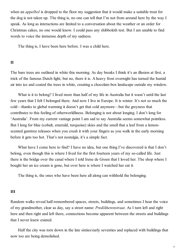when an *appelbol* is dropped to the floor my suggestion that it would make a suitable treat for the dog is not taken up. The thing is, no one can tell that I'm not from around here by the way I speak. As long as interactions are limited to a conversation about the weather or an order for Christmas cakes, no one would know. I could pass any shibboleth test. But I am unable to find words to voice the immense depth of my sadness.

The thing is, I have been here before. I was a child here.

#### **II**

The bare trees are outlined in white this morning. As day breaks I think it's an illusion at first, a trick of the famous Dutch light, but no, there it is. A heavy frost overnight has turned the humid air into ice and coated the trees in white, creating a chocolate-box landscape outside my window.

What is it to belong? I lived more than half of my life in Australia but it wasn't until the last few years that I felt I belonged there. And now I live in Europe. It is winter. It's not so much the cold—thanks to global warming it doesn't get that cold anymore—but the greyness that contributes to this feeling of otherworldliness. Belonging is not about longing. I don't long for 'Australia'. From my current vantage point I am sad to say Australia seems somewhat pointless. But I long for blue (cobalt, emerald, turquoise) skies and the smell that a leaf from a lemonscented gumtree releases when you crush it with your fingers as you walk in the early morning before it gets too hot. That's not nostalgia, it's a simple fact.

What have I come here to find? I have no idea, but one thing I've discovered is that I don't belong, even though this is where I lived for the first fourteen years of my so-called life. Just there is the bridge over the canal where I told Irene de Groen that I loved her. The shop where I bought her an ice cream is gone, but over here is where I watched her eat it.

The thing is, the ones who have been here all along can withhold the belonging.

#### **III**

Random walks reveal half-remembered spaces, streets, buildings, and sometimes I hear the voice of my grandmother, clear as day, say a street name: *Predikherenstraat*. As I turn left and right here and then right and left there, connections become apparent between the streets and buildings that I never knew existed.

Half the city was torn down in the late sixties/early seventies and replaced with buildings that now too are being demolished.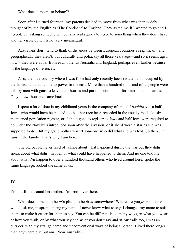What does it mean 'to belong'?

Soon after I turned fourteen, my parents decided to move from what was then widely thought of by the English as 'The Continent' to England. They asked me if I wanted to go and I agreed, but asking someone without any real agency to agree to something when they don't have another viable option is not very meaningful.

Australians don't tend to think of distances between European countries as significant, and geographically they aren't, but culturally and politically all those years ago—and so it seems again now—they were as far from each other as Australia and England; perhaps even farther because of the language differences.

Also, the little country where I was from had only recently been invaded and occupied by the fascists that had come to power in the east. More than a hundred thousand of its people were told by men with guns to leave their houses and put on trains bound for extermination camps. Only a few thousand came back.

I spent a lot of time in my childhood years in the company of an old *Mischlinge*—a half Jew—who would have been dead too had her race been recorded in the usually meticulously maintained population register, or if she'd gone to register as Jews and half Jews were required to do under the Nazi laws introduced soon after the invasion, or if she'd worn a star as she was supposed to do. But my grandmother wasn't someone who did what she was told. So there. It runs in the family. That's why I am here.

The old people never tired of talking about what happened during the war but they didn't speak about what didn't happen or what could have happened to them. And no one told me about what *did* happen to over a hundred thousand others who lived around here, spoke the same language, looked the same as us.

#### **IV**

I'm not from around here either. I'm from over there.

What does it mean to be *of* a place, to be *from* somewhere? Where are you *from*? people would ask me, mispronouncing my name. I never knew what to say. I changed my name to suit them, to make it easier for them to say. You can be different in so many ways, in what you wear or how you walk, or by what you say and what you don't say and in Australia too, I was an outsider, with my strange name and unconventional ways of being a person. I lived there longer than anywhere else but am I *from* Australia?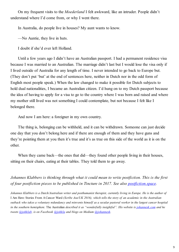On my frequent visits to the *Moederland* I felt awkward, like an intruder. People didn't understand where I'd come from, or why I went there.

In Australia, do people live in houses? My aunt wants to know.

—No Auntie, they live in huts.

I doubt if she'd ever left Holland.

Until a few years ago I didn't have an Australian passport. I had a permanent residence visa because I was married to an Australian. The marriage didn't last but I would lose the visa only if I lived outside of Australia for any length of time. I never intended to go back to Europe but. (They don't put 'but' at the end of sentences here, neither in Dutch nor in the odd form of English most people speak.) When the law changed to make it possible for Dutch subjects to hold dual nationalities, I became an Australian citizen. I'd hung on to my Dutch passport because the idea of having to apply for a visa to go to the country where I was born and raised and where my mother still lived was not something I could contemplate, but not because I felt like I belonged there.

And now I am here: a foreigner in my own country.

The thing is, belonging can be withheld, and it can be withdrawn. Someone can just decide one day that you don't belong here and if there are enough of them and they have guns and they're pointing them at you then it's true and it's as true on this side of the world as it is on the other.

When they came back—the ones that did—they found other people living in their houses, sitting on their chairs, eating at their tables. They told them to go away.

*Johannes Klabbers is thinking through what it could mean to write postfiction. This is the first of four postfiction pieces to be published in Tincture in 2017. See also [postfiction.space](http://postfiction.space).* 

*Johannes Klabbers is a Dutch/Australian writer and posthumanist therapist, currently living in Europe. He is the author of* I Am Here: Stories From A Cancer Ward *(Scribe Aus/UK 2016), which tells the story of an academic in the Australian outback who takes a voluntary redundancy and reinvents himself as a secular pastoral worker in the largest cancer hospital in the southern hemisphere.* The Australian *described it as "wonderfully insightful". His website is [johannesk.com](http://johannesk.com/) and he tweets [@johklab,](https://twitter.com/johklab) is on Facebook [@johkla](https://facebook.com/johkla) and blogs on Medium [@johannesk](https://medium.com/@johannesk).*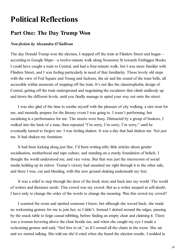### **Political Reflections**

### **Part One: The Day Trump Won**

#### *Non-fiction by Alexandra O'Sullivan*

The day Donald Trump won the election, I stepped off the train at Flinders Street and began according to Google Maps—a twelve-minute walk along Swanston St towards Embiggen Books. I could have caught a train to Central, and had a four-minute walk, but I was more familiar with Flinders Street, and I was feeling particularly in need of that familiarity. Those lovely old steps with the view of Fed Square and Young and Jackson, the air and the sound of the tram bells, all accessible within moments of stepping off the train. It's not like the claustrophobic design of Central, getting off the train underground and negotiating the escalators that climb endlessly up and down the different levels, until you finally manage to spiral your way out onto the street.

I was also glad of the time to soothe myself with the pleasure of city walking, a rare treat for me, and mentally prepare for the literary event I was going to. I wasn't performing, but socialising is a performance for me. The streets were busy. Distracted by a group of buskers, I walked into the back of a man, then repeated "I'm sorry, I'm sorry, I'm sorry," until he eventually turned to forgive me. I was feeling shaken. It was a day that had shaken me. Not just me. It had shaken my feminism.

It had been kicking along just fine. I'd been writing nifty little articles about gender socialisation, motherhood and rape culture, and standing on a sturdy foundation of beliefs. I thought the world understood me, and vice versa. But that was just the microcosm of social media holding up its mirror. Trump's victory had smashed me right through it to the other side, and there I was, cut and bleeding, with this new ground shaking underneath my feet.

It was a relief to step through the door of the book store and back into my world. The world of writers and literature nerds. This crowd was my crowd. But as a writer steeped in self-doubt, I have only to change the order of the words to change the meaning. Was this crowd my crowd?

I scanned the room and spotted someone I knew, but although she waved back, she made no welcoming gesture for me to join her, so I didn't. Instead I skirted around the edges, pausing by the snack table to feign casual nibbling, before finding an empty chair and claiming it. There was a woman hovering above the chair beside me, and when she caught my eye I made a welcoming gesture and said, "feel free to sit," as if I owned all the chairs in the room. She sat and we started talking. She told me she'd cried when she heard the election results. I nodded in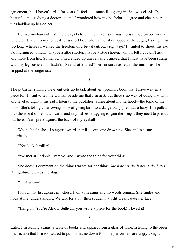agreement, but I haven't cried for years. It feels too much like giving in. She was classically beautiful and studying a doctorate, and I wondered how my bachelor's degree and cheap haircut was holding up beside her.

I'd had my hair cut just a few days before. The hairdresser was a brisk middle-aged woman who didn't listen to my request for a short bob. She cautiously snipped at the edges, leaving it far too long, whereas I wanted the freedom of a brutal cut. *Just lop it off!* I wanted to shout. Instead I'd murmured timidly, "maybe a little shorter, maybe a little shorter," until I felt I couldn't ask any more from her. Somehow it had ended up uneven and I agreed that I must have been sitting with my legs crossed—I hadn't. "See what it does!" her scissors flashed in the mirror as she snipped at the longer side.

§

The publisher running the event gets up to talk about an upcoming book that I have written a piece for. I want to tell the woman beside me that I'm in it, but there's no way of doing that with any level of dignity. Instead I listen to the publisher talking about motherhood—the topic of the book. She's telling a harrowing story of giving birth to a dangerously premature baby. I'm pulled into the world of neonatal wards and tiny babies struggling to gain the weight they need to join us out here. Tears press against the back of my eyeballs.

When she finishes, I stagger towards her like someone drowning. She smiles at me quizzically.

"You look familiar?"

"We met at Scribble Creative, and I wrote the thing for your thing."

She doesn't comment on the thing I wrote for her thing. *She hates it she hates it she hates it.* I gesture towards the stage.

"That was—"

I knock my fist against my chest. I am all feelings and no words tonight. She smiles and nods at me, understanding. We talk for a bit, then suddenly a light breaks over her face.

"Hang on! You're Alex O'Sullivan, you wrote a piece for the book! I loved it!"

§

Later, I'm leaning against a table of books and sipping from a glass of wine, listening to the open mic section that I'm too scared to put my name down for. The performers are angry tonight.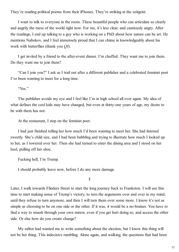They're reading political poems from their iPhones. They're striking at the zeitgeist.

I want to talk to everyone in the room. These beautiful people who can articulate so clearly and angrily the mess of the world right now. For me, it's less clear, and cautiously angry. After the readings, I end up talking to a guy who is working on a PhD about how nature can be art. He mentions Nabokov, and I feel immensely proud that I can chime in knowledgeably about his work with butterflies (thank you *QI*).

I get invited by a friend to the after-event dinner. I'm chuffed. They want me to join them. Do they want me to join them?

"Can I join you?" I ask as I trail out after a different publisher and a celebrated feminist poet I've been wanting to meet for a long time.

"Yes."

The publisher avoids my eye and I feel like I'm in high school all over again. My idea of what defines the cool kids may have changed, but even at thirty-one years of age, my desire to be with them has not.

At the restaurant, I step on the feminist poet.

I had just finished telling her how much I'd been wanting to meet her. She had listened sweetly. She's child size, and I had been babbling and trying to illustrate how much I looked up to her, as I towered over her. Then she had turned to enter the dining area and I stood on her heel, pulling off her shoe.

Fucking hell, I'm Trump.

I should probably leave now, before I do any more damage.

§

Later, I walk towards Flinders Street to start the long journey back to Frankston. I will use this time to start making sense of Trump's victory, to turn the arguments over and over in my mind, until they refuse to turn anymore, and then I will turn them over some more. I know it's not as simple as choosing to be on one side or the other. If it was, it would be a no-brainer. You have to find a way to smash through your own mirror, even if you get hurt doing so, and access the other side. Or else how do you create change?

My editor had wanted me to write something about the election, but I know this thing will not be her thing. This indecisive rambling. Alone again, and walking, the questions that had been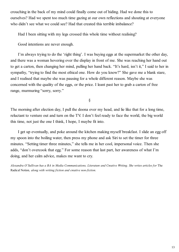crouching in the back of my mind could finally come out of hiding. Had we done this to ourselves? Had we spent too much time gazing at our own reflections and shouting at everyone who didn't see what we could see? Had that created this terrible imbalance?

Had I been sitting with my legs crossed this whole time without realising?

Good intentions are never enough.

I'm always trying to do the 'right thing'. I was buying eggs at the supermarket the other day, and there was a woman hovering over the display in front of me. She was reaching her hand out to get a carton, then changing her mind, pulling her hand back. "It's hard, isn't it," I said to her in sympathy, "trying to find the most ethical one. How do you know?" She gave me a blank stare, and I realised that maybe she was pausing for a whole different reason. Maybe she was concerned with the quality of the eggs, or the price. I leant past her to grab a carton of free range, murmuring "sorry, sorry."

§

The morning after election day, I pull the doona over my head, and lie like that for a long time, reluctant to venture out and turn on the TV. I don't feel ready to face the world, the big world this time, not just the one I think, I hope, I maybe fit into.

I get up eventually, and poke around the kitchen making myself breakfast. I slide an egg off my spoon into the boiling water, then press my phone and ask Siri to set the timer for three minutes. "Setting timer three minutes," she tells me in her cool, impersonal voice. Then she adds, "don't overcook that egg." For some reason that last part, her awareness of what I'm doing, and her calm advice, makes me want to cry.

*Alexandra O'Sullivan has a BA in Media Communications, Literature and Creative Writing. She writes articles for* The Radical Notion*, along with writing fiction and creative non-fiction.*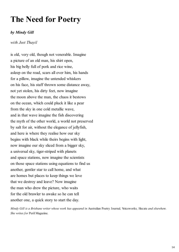### **The Need for Poetry**

#### *by Mindy Gill*

*with Jeet Thayil*

is old, very old, though not venerable. Imagine a picture of an old man, his shirt open, his big belly full of pork and rice wine, asleep on the road, scars all over him, his hands for a pillow, imagine the untended whiskers on his face, his staff thrown some distance away, not yet stolen, his dirty feet, now imagine the moon above the man, the chaos it bestows on the ocean, which could pluck it like a pear from the sky in one cold metallic wave, and in that wave imagine the fish discovering the myth of the other world, a world not preserved by salt for air, without the elegance of jellyfish, and here is where they realise how our sky begins with black while theirs begins with light, now imagine our sky sliced from a bigger sky, a universal sky, tiger-striped with planets and space stations, now imagine the scientists on those space stations using equations to find us another, gentler star to call home, and what are homes but places to keep things we love that we destroy and leave? Now imagine the man who drew the picture, who waits for the old brawler to awake so he can tell another one, a quick story to start the day.

*Mindy Gill is a Brisbane writer whose work has appeared in* Australian Poetry Journal*,* Voiceworks*,* Hecate *and elsewhere. She writes for* Peril Magazine*.*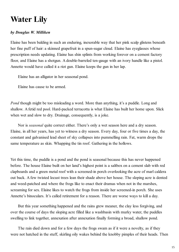### **Water Lily**

#### *by Douglas W. Milliken*

Elaine has been balding in such an enduring, inexorable way that her pink scalp glistens beneath her fine puff of hair: a skinned grapefruit in a spun-sugar cloud. Elaine has eyeglasses whose prescription needs updating. Elaine has shin splints from working forever on a cement factory floor, and Elaine has a shotgun. A double-barreled ten-gauge with an ivory handle like a pistol. Annette would have called it a riot gun. Elaine keeps the gun in her lap.

Elaine has an alligator in her seasonal pond.

Elaine has cause to be armed.

*Pond* though might be too misleading a word. More than anything, it's a puddle. Long and shallow. A fetid red pool. Hard-packed terracotta is what Elaine has built her home upon. Slick when wet and slow to dry. Drainage, consequently, is a joke.

Nor is *seasonal* quite correct either. There's only a wet season here and a dry season. Elaine, in all her years, has yet to witness a dry season. Every day, four or five times a day, the constant and galvanised lead sheet of sky collapses into pummelling rain. Fat, warm drops the same temperature as skin. Whapping the tin roof. Gathering in the hollows.

Yet this time, the puddle is a pond and the pond is seasonal because this has never happened before. The house Elaine built on her land's highest point is a saltbox on a cement slab with red clapboards and a green metal roof with a screened-in porch overlooking the acre of marl caldera out back. A few twisted locust trees lean their shade above her house. The sloping acre is dented and weed-patched and where the frogs like to enact their dramas when not in the marshes, screaming for sex. Elaine likes to watch the frogs from inside her screened-in porch. She uses Annette's binoculars. It's called retirement for a reason. There are worse ways to kill a day.

But this year something happened and the rains grew meaner, the clay less forgiving, and over the course of days the sloping acre filled like a washbasin with murky water, the puddles swelling to link together, annexation after annexation finally forming a broad, shallow pond.

The rain died down and for a few days the frogs swam as if it were a novelty, as if they were not hatched in the stuff, skirling oily wakes behind the knobby pimples of their heads. Then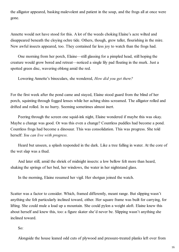the alligator appeared, basking malevolent and patient in the soup, and the frogs all at once were gone.

Annette would not have stood for this. A lot of the weeds choking Elaine's acre wilted and disappeared beneath the cloying ochre tide. Others, though, grew taller, flourishing in the mire. New awful insects appeared, too. They contained far less joy to watch than the frogs had.

One morning from her porch, Elaine—still glassing for a pimpled head, still hoping the creature would grow bored and retreat—noticed a single lily pad floating in the murk. Just a spotted green disc, wavering oblong amid the red.

Lowering Annette's binoculars, she wondered, *How did you get there?*

For the first week after the pond came and stayed, Elaine stood guard from the blind of her porch, squinting through fogged lenses while her aching shins screamed. The alligator rolled and drifted and rolled. In no hurry. Seeming sometimes almost inert.

Peering through the screen one squid-ink night, Elaine wondered if maybe this was okay. Maybe a change was good. Or was this even a change? Countless puddles had become a pond. Countless frogs had become a dinosaur. This was consolidation. This was progress. She told herself: *You can live with progress.*

Heard but unseen, a splash responded in the dark. Like a tree falling in water. At the core of the wet slap was a thud.

And later still, amid the shriek of midnight insects: a low bellow felt more than heard, shaking the springs of her bed, her windows, the water in her nightstand glass.

In the morning, Elaine resumed her vigil. Her shotgun joined the watch.

Scatter was a factor to consider. Which, framed differently, meant range. But slipping wasn't anything she felt particularly inclined toward, either. Her square frame was built for carrying, for lifting. She could mule a load up a mountain. She could pylon a weight aloft. Elaine knew this about herself and knew this, too: a figure skater she'd never be. Slipping wasn't anything she inclined toward.

So:

Alongside the house leaned odd cuts of plywood and pressure-treated planks left over from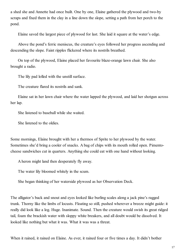a shed she and Annette had once built. One by one, Elaine gathered the plywood and two-by scraps and fixed them in the clay in a line down the slope, setting a path from her porch to the pond.

Elaine saved the largest piece of plywood for last. She laid it square at the water's edge.

Above the pond's ferric meniscus, the creature's eyes followed her progress ascending and descending the slope. Faint ripples flickered where its nostrils breathed.

On top of the plywood, Elaine placed her favourite blaze-orange lawn chair. She also brought a radio.

The lily pad lolled with the unstill surface.

The creature flared its nostrils and sank.

Elaine sat in her lawn chair where the water lapped the plywood, and laid her shotgun across her lap.

She listened to baseball while she waited.

She listened to the oldies.

Some mornings, Elaine brought with her a thermos of Sprite to her plywood by the water. Sometimes she'd bring a cooler of snacks. A bag of chips with its mouth rolled open. Pimentocheese sandwiches cut in quarters. Anything she could eat with one hand without looking.

A heron might land then desperately fly away.

The water lily bloomed whitely in the scum.

She began thinking of her waterside plywood as her Observation Deck.

The alligator's back and snout and eyes looked like burling scales along a jack pine's ragged trunk. Thorny like the limbs of locusts. Floating so still, pushed wherever a breeze might guide: it really did look like a log. Huge. Inanimate. Sound. Then the creature would swish its great ridged tail, foam the brackish water with sloppy white breakers, and all doubt would be dissolved. It looked like nothing but what it was. What it was was a threat.

When it rained, it rained on Elaine. As ever, it rained four or five times a day. It didn't bother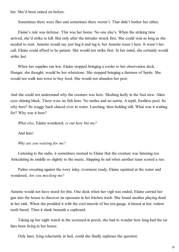her. She'd been rained on before.

Sometimes there were flies and sometimes there weren't. That didn't bother her either.

Elaine's rule was defense. This was her home. No one else's. When the striking time arrived, she'd strike to kill. But only after the intruder struck first. She could wait as long as she needed to wait. Annette would say just bag it and tag it, but Annette wasn't here. It wasn't her call. Elaine could afford to be patient. She would not strike first. In her mind, she certainly would strike last.

When her supplies ran low, Elaine stopped bringing a cooler to her observation deck. Hunger, she thought, would be her whetstone. She stopped bringing a thermos of Sprite. She would not walk into town to buy food. She would not abandon her post.

And she could not understand why the creature was here. Sloshing lazily in the foul stew. Alien eyes shining black. There were no fish here. No turtles and no nutria. A tepid, foodless pool. So why here? Its craggy back sluiced over in water. Lurching, then holding still. What was it waiting for? Why was it here?

*What else*, Elaine wondered, *is out here but me?*

And later:

*Why are you waiting for me?*

Listening to the radio, it sometimes seemed to Elaine that the creature was listening too. Articulating its middle so slightly to the music. Slapping its tail when another team scored a run.

Palms sweating against the ivory inlay, evermore ready, Elaine squinted at the water and wondered, *Are you mocking me?*

Annette would not have stood for this. One dusk when her vigil was ended, Elaine carried her gun into the house to discover an opossum in her kitchen trash. She found another playing dead in her sink. When she prodded it with the cool muzzle of her ten-gauge, it hissed at her, rodent teeth bared. Then it slunk beneath a cupboard.

Taking up her night watch in the screened-in porch, she had to wonder how long had the rat liars been living in her house.

Only later, lying reluctantly in bed, could she finally rephrase the question: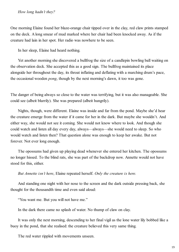#### *How long hadn't they?*

One morning Elaine found her blaze-orange chair tipped over in the clay, red claw prints stamped on the deck. A long smear of mud marked where her chair had been knocked away. As if the creature had lain in her spot. Her radio was nowhere to be seen.

In her sleep, Elaine had heard nothing.

Yet another morning she discovered a bullfrog the size of a candlepin bowling ball waiting on the observation deck. She accepted this as a good sign. The bullfrog maintained its place alongside her throughout the day, its throat inflating and deflating with a marching drum's pace, the occasional wooden *pong*, though by the next morning's dawn, it too was gone.

The danger of being always so close to the water was terrifying, but it was also manageable. She could see (albeit blurrily). She was prepared (albeit hungrily).

Nights, though, were different. Elaine was inside and far from the pond. Maybe she'd hear the creature emerge from the water if it came for her in the dark. But maybe she wouldn't. And either way, she would not see it coming. She would not know where to look. And though she could watch and listen all day every day, always—always—she would need to sleep. So who would watch and listen then? That question alone was enough to keep her awake. But not forever. Not ever long enough.

The opossums had given up playing dead whenever she entered her kitchen. The opossums no longer hissed. To the blind rats, she was part of the backdrop now. Annette would not have stood for this, either.

*But Annette isn't here*, Elaine repeated herself. *Only the creature is here.*

And standing one night with her nose to the screen and the dark outside pressing back, she thought for the thousandth time and even said aloud:

"You want me. But you will not have me."

In the dark there came no splash of water. No thump of claw on clay.

It was only the next morning, descending to her final vigil as the lone water lily bobbed like a buoy in the pond, that she realised: the creature believed this very same thing.

The red water rippled with movements unseen.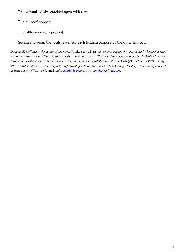The galvanised sky cracked open with rain.

The tin roof popped.

The filthy meniscus popped.

Seeing and seen, the vigils resumed, each lending purpose as the other lent back.

*Douglas W. Milliken is the author of the novel* To Sleep as Animals *and several chapbooks, most recently the pocket-sized editions* Cream River *and* One Thousand Owls Behind Your Chest*. His stories have been honoured by the Maine Literary Awards, the Pushcart Prize, and Glimmer Train, and have been published in* Slice*, the* Collagist*, and the* Believer*, among others. 'Water Lily' was written as part of a fellowship with the Hewnoaks Artists Colony. His story 'Arena' was published in Issue Seven of* Tincture Journal *and is [available online.](http://tincture-journal.com/2014/11/25/arena-by-douglas-w-milliken/) [www.douglaswmilliken.com](http://www.douglaswmilliken.com/)*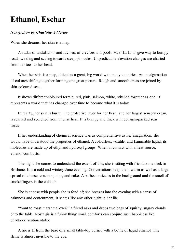### **Ethanol, Eschar**

#### *Non-fiction by Charlotte Adderley*

When she dreams, her skin is a map.

An atlas of undulations and ravines, of crevices and pools. Vast flat lands give way to bumpy roads winding and scaling towards steep pinnacles. Unpredictable elevation changes are charted from her toes to her head.

When her skin is a map, it depicts a great, big world with many countries. An amalgamation of cultures drifting together forming one great picture. Rough and smooth areas are joined by skin-coloured seas.

It shows different-coloured terrain; red, pink, salmon, white, stitched together as one. It represents a world that has changed over time to become what it is today.

In reality, her skin is burnt. The protective layer for her flesh, and her largest sensory organ, is scarred and scorched from intense heat. It is bumpy and thick with collagen-packed scar tissue.

If her understanding of chemical science was as comprehensive as her imagination, she would have understood the properties of ethanol. A colourless, volatile, and flammable liquid, its molecules are made up of ethyl and hydroxyl groups. When in contact with a heat source, ethanol combusts.

The night she comes to understand the extent of this, she is sitting with friends on a deck in Brisbane. It is a cold and wintery June evening. Conversations keep them warm as well as a large spread of cheese, crackers, dips, and cake. A barbecue sizzles in the background and the smell of smoke lingers in the cold air.

She is at ease with people she is fond of; she breezes into the evening with a sense of calmness and contentment. It seems like any other night in her life.

"Want to roast marshmallows?" a friend asks and drops two bags of squishy, sugary clouds onto the table. Nostalgia is a funny thing; small comforts can conjure such happiness like childhood sentimentality.

A fire is lit from the base of a small table-top burner with a bottle of liquid ethanol. The flame is almost invisible to the eye.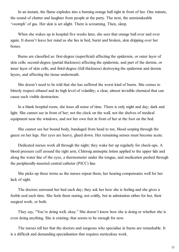In an instant, the flame explodes into a burning orange ball right in front of her. One minute, the sound of chatter and laughter from people at the party. The next, the unmistakeable 'voomph' of gas. Her skin is set alight. There is screaming. Then, sleep.

When she wakes up in hospital five weeks later, she sees that orange ball over and over again. It doesn't leave her mind as she lies in bed, burnt and broken, skin dripping over her bones.

Burns are classified as: first-degree (superficial) affecting the epidermis, or outer layer of skin cells; second-degree (partial thickness) affecting the epidermis, and part of the dermis, or inner layer of skin cells; and third-degree (full thickness) destroying the epidermis and dermis layers, and affecting the tissue underneath.

She doesn't need to be told that she has suffered the worst kind of burns. She comes to bitterly respect ethanol and its high level of volatility; a clear, almost invisible chemical that can cause such visible destruction.

In a blank hospital room, she loses all sense of time. There is only night and day; dark and light. She cannot see in front of her; not the clock on the wall, not the shelves of medical equipment near the windows, and not her own feet in front of her at the foot on the bed.

She cannot see her bound body, bandaged from head to toe, blood seeping through the gauze on her legs. Her eyes are heavy, glued down. Her remaining senses must become acute.

Dedicated nurses work all through the night; they wake her up regularly for check-ups. A blood pressure cuff around the right arm, Chlorsig antiseptic lotion applied to the upper lids and along the water line of the eyes, a thermometer under the tongue, and medication pushed through the peripherally-inserted central catheter (PICC) line.

She picks up these terms as the nurses repeat them; her hearing compensates well for her lack of sight.

The doctors surround her bed each day; they ask her how she is feeling and she gives a feeble nod each time. She feels them staring, not coldly, but in admiration either for her, their surgical work, or both.

They say, "You're doing well, okay." She doesn't know how she is doing or whether she is even doing anything. She is existing; that seems to be enough for now.

The nurses tell her that the doctors and surgeons who specialise in burns are remarkable. It is a difficult and demanding specialisation that requires meticulous work.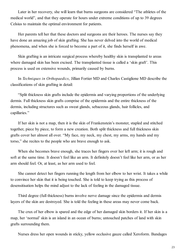Later in her recovery, she will learn that burns surgeons are considered "The athletes of the medical world", and that they operate for hours under extreme conditions of up to 39 degrees Celsius to maintain the optimal environment for patients.

Her parents tell her that these doctors and surgeons are their heroes. The nurses say they have done an amazing job of skin grafting. She has never delved into the world of medical phenomena, and when she is forced to become a part of it, she finds herself in awe.

Skin grafting is an intricate surgical process whereby healthy skin is transplanted to areas where damaged skin has been excised. The transplanted tissue is called a 'skin graft'. This process is used on extensive wounds, primarily caused by burns.

In *Techniques in Orthopaedics*, Jillian Fortier MD and Charles Castiglione MD describe the classifications of skin grafting in detail:

"Split thickness skin grafts include the epidermis and varying proportions of the underlying dermis. Full thickness skin grafts comprise of the epidermis and the entire thickness of the dermis, including structures such as sweat glands, sebaceous glands, hair follicles, and capillaries."

If her skin is not a map, then it is the skin of Frankenstein's monster, stapled and stitched together, piece by piece, to form a new creation. Both split thickness and full thickness skin grafts cover her almost all over. "My face, my neck, my chest, my arms, my hands and my torso," she recites to the people who are brave enough to ask.

When she becomes brave enough, she traces her fingers over her left arm; it is rough and soft at the same time. It doesn't feel like an arm. It definitely doesn't feel like her arm, or as her arm should feel. Or, at least, as her arm used to feel.

She cannot detect her fingers running the length from her elbow to her wrist. It takes a while to convince her skin that it is being touched. She is told to keep trying as this process of desensitisation helps the mind adjust to the lack of feeling in the damaged tissue.

Third degree (full thickness) burns involve nerve damage since the epidermis and dermis layers of the skin are destroyed. She is told the feeling in these areas may never come back.

The crux of her elbow is spared and the edge of her damaged skin borders it. If her skin is a map, her 'normal' skin is an island in an ocean of burns; untouched patches of land with skin grafts surrounding them.

Nurses dress her open wounds in sticky, yellow occlusive gauze called Xeroform. Bandages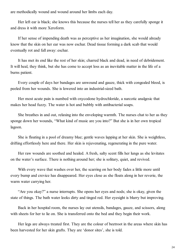are methodically wound and wound around her limbs each day.

Her left ear is black; she knows this because the nurses tell her as they carefully sponge it and dress it with more Xeroform.

If her sense of impending death was as perceptive as her imagination, she would already know that the skin on her ear was now eschar. Dead tissue forming a dark scab that would eventually rot and fall away: eschar.

It has met its end like the rest of her skin; charred black and dead, in need of debridement. It will heal, they think, but she has come to accept loss as an inevitable matter in the life of a burns patient.

Every couple of days her bandages are unwound and gauze, thick with congealed blood, is peeled from her wounds. She is lowered into an industrial-sized bath.

Her most acute pain is numbed with oxycodone hydrochloride, a narcotic analgesic that makes her head fuzzy. The water is hot and bubbly with antibacterial soaps.

She breathes in and out, relaxing into the enveloping warmth. The nurses chat to her as they sponge down her wounds, "What kind of music are you into?" But she is in her own tropical lagoon.

She is floating in a pool of dreamy blue; gentle waves lapping at her skin. She is weightless, drifting effortlessly here and there. Her skin is rejuvenating, regenerating in the pure water.

Her raw wounds are soothed and healed. A fresh, salty scent fills her lungs as she levitates on the water's surface. There is nothing around her; she is solitary, quiet, and revived.

With every wave that washes over her, the scarring on her body fades a little more until every bump and crevice has disappeared. Her eyes close as she floats along in her reverie, the warm water carrying her.

"Are you okay?" a nurse interrupts. She opens her eyes and nods; she is okay, given the state of things. The bath water looks dirty and tinged red. Her eyesight is blurry but improving.

Back in her hospital room, the nurses lay out utensils, bandages, gauze, and scissors, along with sheets for her to lie on. She is transferred onto the bed and they begin their work.

Her legs are always treated first. They are the colour of beetroot in the areas where skin has been harvested for her skin grafts. They are 'donor sites', she is told.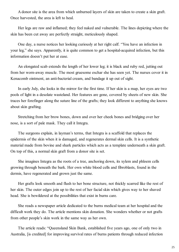A donor site is the area from which unburned layers of skin are taken to create a skin graft. Once harvested, the area is left to heal.

Her legs are raw and inflamed; they feel naked and vulnerable. The lines depicting where the skin has been cut away are perfectly straight, meticulously shaped.

One day, a nurse notices her looking curiously at her right calf. "You have an infection in your leg," she says. Apparently, it is quite common to get a hospital-acquired infection, but this information doesn't put her at ease.

An elongated scab extends the length of her lower leg; it is black and ruby red, jutting out from her worn-away muscle. The most gruesome eschar she has seen yet. The nurses cover it in Kenacomb ointment, an anti-bacterial cream, and bandage it up out of sight.

In early July, she looks in the mirror for the first time. If her skin is a map, her eyes are two pools of light in a desolate wasteland. Her features are gone, covered by sheets of new skin. She traces her forefinger along the suture line of the grafts; they look different to anything she knows about skin grafting.

Stretching from her brow bones, down and over her cheek bones and bridging over her nose, is a sort of pale mask. They call it Integra.

The surgeons explain, in layman's terms, that Integra is a scaffold that replaces the epidermis of the skin when it is damaged, and regenerates dermal skin cells. It is a synthetic material made from bovine and shark particles which acts as a template underneath a skin graft. On top of this, a normal skin graft from a donor site is set.

She imagines Integra as the roots of a tree, anchoring down, its xylem and phloem cells growing through beneath the bark. Her own white blood cells and fibroblasts, found in the dermis, have regenerated and grown just the same.

Her grafts look smooth and flush to her bone structure, not thickly scarred like the rest of her skin. The outer edges join up to the rest of her facial skin which gives way to her shaved head. She is bewildered at the possibilities that exist in burns care.

She reads a newspaper article dedicated to the burns medical team at her hospital and the difficult work they do. The article mentions skin donation. She wonders whether or not grafts from other people's skin work in the same way as her own.

The article reads: "Queensland Skin Bank, established five years ago, one of only two in Australia, [is credited] for improving survival rates of burns patients through reduced infection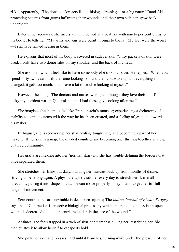risk." Apparently, "The donated skin acts like a 'biologic dressing'—or a big natural Band Aid protecting patients from germs infiltrating their wounds until their own skin can grow back underneath."

Later in her recovery, she meets a man involved in a boat fire with ninety per cent burns to his body. He tells her, "My arms and legs were burnt through to the fat. My feet were the worst —I still have limited feeling in them."

He explains that most of his body is covered in cadaver skin: "Fifty packets of skin were used. I only have two donor sites on my shoulder and the back of my neck."

She asks him what it feels like to have somebody else's skin all over. He replies, "When you spend forty-two years with the same looking skin and then you wake up and everything is changed, it gets too much. I still have a lot of trouble looking at myself."

However, he adds, "The doctors and nurses were great though, they love their job. I'm lucky my accident was in Queensland and I had these guys looking after me."

She imagines that he must feel like Frankenstein's monster; experiencing a dichotomy of inability to come to terms with the way he has been created, and a feeling of gratitude towards his maker.

In August, she is recovering; her skin healing, toughening, and becoming a part of her makeup. If her skin is a map, the divided countries are becoming one, thriving together in a big, cultured community.

Her grafts are melding into her 'normal' skin until she has trouble defining the borders that once separated them.

She stretches her limbs out daily, building her muscles back up from months of disuse, striving to be strong again. A physiotherapist visits her every day to stretch her skin in all directions, pulling it into shape so that she can move properly. They intend to get her to 'full range' of movement.

Scar contractures are inevitable in deep burn injuries; The *Indian Journal of Plastic Surgery* says that, "Contraction is an active biological process by which an area of skin loss in an open wound is decreased due to concentric reduction in the size of the wound."

At times, she feels trapped in a web of skin, the tightness pulling her, restricting her. She manipulates it to allow herself to escape its hold.

She pulls her skin and presses hard until it blanches, turning white under the pressure of her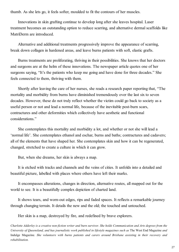thumb. As she lets go, it feels softer, moulded to fit the contours of her muscles.

Innovations in skin grafting continue to develop long after she leaves hospital. Laser treatment becomes an outstanding option to reduce scarring, and alternative dermal scaffolds like MatriDerm are introduced.

Alternative and additional treatments progressively improve the appearance of scarring, break down collagen in hardened areas, and leave burns patients with soft, elastic grafts.

Burns treatments are proliferating, thriving in their possibilities. She knows that her doctors and surgeons are at the helm of these innovations. The newspaper article quotes one of her surgeons saying, "It's the patients who keep me going and have done for three decades." She feels connected to them, thriving with them.

Shortly after leaving the care of her nurses, she reads a research paper reporting that, "The mortality and morbidity from burns have diminished tremendously over the last six to seven decades. However, these do not truly reflect whether the victim could go back to society as a useful person or not and lead a normal life, because of the inevitable post-burn scars, contractures and other deformities which collectively have aesthetic and functional considerations."

She contemplates this mortality and morbidity a lot, and whether or not she will lead a 'normal life'. She contemplates ethanol and eschar, burns and baths; contractures and cadavers; all of the elements that have shaped her. She contemplates skin and how it can be regenerated, changed, stretched to create a culture in which it can grow.

But, when she dreams, her skin is always a map.

It is etched with tracks and channels and the veins of cities. It unfolds into a detailed and beautiful picture, labelled with places where others have left their marks.

It encompasses alterations, changes in direction, alternative routes, all mapped out for the world to see. It is a beautifully complex depiction of charted land.

It shows tears, and worn-out edges, rips and faded spaces. It reflects a remarkable journey through changing terrain. It details the new and the old; the touched and untouched.

Her skin is a map, destroyed by fire, and redefined by brave explorers.

*Charlotte Adderley is a creative non-fiction writer and burn survivor. She holds Communication and Arts degrees from the University of Queensland, and has journalistic work published in lifestyle magazines such as* The West End Magazine *and* Indulge Magazine*. She volunteers with burns patients and carers around Brisbane assisting in their recovery and rehabilitation.*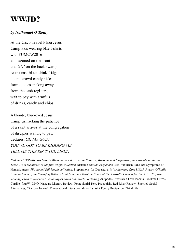### **WWJD?**

#### *by Nathanael O'Reilly*

At the Cisco Travel Plaza Jesus Camp kids wearing blue t-shirts with FUMCW2016 emblazoned on the front and *GO!* on the back swamp restrooms, block drink fridge doors, crowd candy aisles, form queues snaking away from the cash registers, wait to pay with armfuls of drinks, candy and chips.

A blonde, blue-eyed Jesus Camp girl lacking the patience of a saint arrives at the congregation of disciples waiting to pay, declares: *OH MY GOD! YOU'VE GOT TO BE KIDDING ME. TELL ME THIS ISN'T THE LINE?!*

*Nathanael O'Reilly was born in Warrnambool & raised in Ballarat, Brisbane and Shepparton; he currently resides in Texas. He is the author of the full-length collection* Distance *and the chapbooks* Cult*,* Suburban Exile *and* Symptoms of Homesickness*. His second full-length collection,* Preparations for Departure*, is forthcoming from UWAP Poetry. O'Reilly is the recipient of an Emerging Writers Grant from the Literature Board of the Australia Council for the Arts. His poems have appeared in journals & anthologies around the world, including* Antipodes*,* Australian Love Poems*,* Blackmail Press*,* Cordite*,* fourW*,* LiNQ*,* Mascara Literary Review*,* Postcolonial Text*,* Prosopisia*,* Red River Review*,* Snorkel*,* Social Alternatives*,* Tincture Journal*,* Transnational Literature*,* Verity La*,* Writ Poetry Review *and* Windmills*.*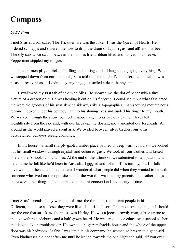### **Compass**

#### *by SJ Finn*

I met Silas in a bar called The Trickster. He was the Joker. I was the Queen of Hearts. He ordered schnapps and showed me how to drop the dram of liquor (glass and all) into my beer. The oily substance swam between the bubbles like a ribbon lifted and buoyed in a breeze. Peppermint stippled my tongue.

The barmen played tricks, shuffling and sorting cards. I laughed, enjoying everything. When we stepped down from our bar stools, Silas told me he thought I'd be taller. I could tell he was pleased, really pleased. I didn't say anything, just smiled a deep, happy smile.

I swallowed my first tab of acid with Silas. He showed me the dot of paper with a tiny picture of a dragon on it. He was holding it out on his fingertip. I could see it but what fascinated me were the grooves of his skin slewing sideways like a topographical map showing mountainous terrain. I looked under his cowboy hat into his shining eyes and guided his finger to my mouth. We walked through the snow, our feet disappearing into its pavlova plume. Flakes fell weightlessly from the sky and, with our faces up, the floating snow anointed our foreheads. All around us the world played a silent aria. We twirled between silver birches, our arms outstretched, our eyes seeing diamonds.

In his house—a small sharply-gabled timber place painted in deep warm colours—we looked out his small windows through crystals and coloured glass. We took off our clothes and kissed one another's nooks and crannies. At the end of the afternoon we submitted to temptation and he told me he felt like he'd been to Australia. I giggled and rolled off his tummy, but I'd fallen in love with him then and sometime later I wondered what people did when they wanted to be with someone who lived on the opposite side of the world. I wrote to my parents about other things there *were* other things—and luxuriated in the misconception I had plenty of time.

§

I met Silas's friends. They were, he told me, the three most important people in his life. Different, but close as close, they were like a liquorish all-sort. The most striking one, or I should say the one that struck *me* the most, was Harley. He was a jocose, rowdy man, a little ursine to the eye with red sideburns and a half-grown beard. He was an outdoor educator; a schoolteacher that looked like a troublemaker. He owned a huge ramshackle house and the whole of the upper floor was his bedroom. At first I was timid in his company; he seemed so brazen to a good-girl. Even kindnesses did not soften me until he leaned towards me one night and said, "If you ever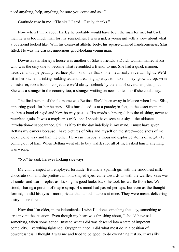need anything, help, anything, be sure you come and ask."

Gratitude rose in me. "Thanks," I said. "Really, thanks."

Now when I think about Harley he probably would have been the man for me, but back then he was too much man for my sensibilities. I was a girl, a young girl with a view about what a boyfriend looked like. With his clean-cut athletic body, his square-chinned handsomeness, Silas fitted. He was the classic, innocuous good-looking young man.

Downstairs in Harley's house was another of Silas's friends, a Dutch woman named Hilda who was the only one to become what resembled a friend, to me. She had a quick manner, decisive, and a perpetually red face plus blond hair that shone metallically in certain lights. We'd sit in her kitchen drinking scalding tea and dreaming up ways to make money: grow a crop, write a bestseller, rob a bank—conjecture we'd always debunk by the end of several emptied pots. She was a stranger in the country too, a stranger waiting on news to tell her if she could stay.

The final person of the foursome was Bettina. She'd been away in Mexico when I met Silas, importing goods for her business. Silas introduced us at a parade; in fact, at the exact moment the brass band clanged and blew its way past us. His words submerged into the clashing, never to resurface again. It was a magician's trick, one I should have seen as a sign—the ultimate introduction-disappearance. Still, as if to fix the day indelibly in my mind, I must have given Bettina my camera because I have pictures of Silas and myself on the street—odd shots of me looking one way and him the other. He wasn't happy, a thousand explosive atoms of negativity coming out of him. When Bettina went off to buy waffles for all of us, I asked him if anything was wrong.

"No," he said, his eyes kicking sideways.

My chin crimped as I employed fortitude. Bettina, a Spanish girl with the smoothest milkchocolate skin and the prettiest almond-shaped eyes, came towards us with the waffles. Silas was all smiles and warm replies as, kicking his good looks back, he took his waffle from her. We stood, sharing a portion of maple syrup. His mood had passed perhaps, but even as the thought formed, he slid his eyes—more private than a nod—across at mine. They were mean, delivering a strychnine threat.

Now that I'm older, more indomitable, I wish I'd done something that day, something to circumvent the situation. Even though my heart was thrashing about, I should have said something, taken some action. Instead what I did was descend into a state of impotent complicity. Everything tightened. Oxygen thinned. I did what most do in a position of powerlessness: I thought it was me and tried to be good, to do everything just so. It was like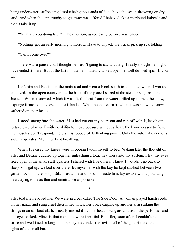being underwater, suffocating despite being thousands of feet above the sea, a drowning on dry land. And when the opportunity to get away was offered I behaved like a moribund imbecile and didn't take it up.

"What are you doing later?" The question, asked easily before, was loaded.

"Nothing, got an early morning tomorrow. Have to unpack the truck, pick up scaffolding."

"Can I come over?"

There was a pause and I thought he wasn't going to say anything. I really thought he might have ended it there. But at the last minute he nodded, cranked open his well-defined lips. "If you want."

I left him and Bettina on the main road and went a block south to the motel where I worked and lived. In the open courtyard at the back of the place I stared at the steam rising from the Jacuzzi. When it snowed, which it wasn't, the heat from the water drifted up to melt the snow, expunge it into nothingness before it landed. When people sat in it, when it was snowing, snow gathered on their heads.

I stood staring into the water. Silas had cut out my heart out and run off with it, leaving me to take care of myself with no ability to move because without a heart the blood ceases to flow, the muscles don't respond, the brain is robbed of its thinking power. Only the automatic nervous system operates. My lungs kept breathing.

When I realised my knees were throbbing I took myself to bed. Waking late, the thought of Silas and Bettina cuddled up together unleashing a toxic heaviness into my system, I lay, my eyes fixed open in the small staff quarters I shared with five others. I knew I wouldn't go back to sleep, so I got up, walked over there, let myself in with the key he kept stashed between two garden rocks on the stoop. Silas was alone and I slid in beside him, lay awake with a pounding heart trying to be as thin and unintrusive as possible.

§

Silas told me he loved me. We were in a bar called The Side Door. A woman played harsh cords on her guitar and sung cruel disgruntled lyrics, her voice carping up and her arm striking the strings in an off-beat clash. I nearly missed it but my head swung around from the performer and our eyes locked. Mine, in that moment, were impartial. But after, soon after, I couldn't help but smile and we kissed, a long smooth salty kiss under the lavish call of the guitarist and the fat lights of the small bar.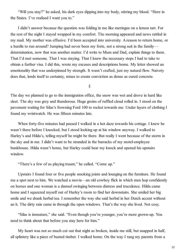"Will you stay?" he asked, his dark eyes dipping into my body, stirring my blood. "Here in the States. I've realised I want you to."

I didn't answer because the question was folding in me like meringue on a lemon tart. For the rest of the night I stayed wrapped in my comfort. The morning appeared and news rattled in my mail. My mother was effusive. I'd been accepted into university. A reason to return home, or a hurdle to run around? Jumping had never been my forte, not a strong suit in the family determination, now that was another matter. I'd write to Mum and Dad, explain things to them. That I'd met someone. That I was staying. That I knew the necessary steps I had to take to obtain a further visa. I did this, wrote my excuses and descriptions home. My letter showed an emotionality that was underpinned by strength. It wasn't crafted, just my natural flow. Naivety does that, lends itself to certainty, mixes to create conviction as dense as cured concrete.

§

The day we planned to go to the immigration office, the snow was wet and drove in hard like sleet. The sky was grey and thunderous. Huge groins of ruffled cloud rolled in. I stood on the pavement waiting for Silas's frowning Ford 100 to rocket towards me. Under layers of clothing I found my wristwatch. He was fifteen minutes late.

When forty-five minutes had passed I walked in a hot daze towards his cottage. I knew he wasn't there before I knocked, but I stood looking up at his window anyway. I walked to Harley's and Hilda's, telling myself he might be there. But really I went because of the storm in the sky and in me. I didn't want to be stranded in the barracks of my motel-employee bunkhouse. Hilda wasn't home, but Harley could hear my knock and opened his upstairs window.

"There's a few of us playing truant," he called. "Come up."

Upstairs I found four or five people smoking joints and lounging on the furniture. He found me a spot next to him. We watched a movie—an old cowboy flick in which men hop confidently on horses and one woman is a damsel swinging between distress and truculence. Hilda came home and I squeezed myself out of Harley's room to find her downstairs. She smiled her big smile and we drank herbal tea. I remember the way she said herbal in her Dutch accent without an h. The dirty rain came in through the open windows. That's the way she lived. Not cosy.

"Silas is immature," she said. "Even though you're younger, you're more grown-up. You need to think about that before you stay here for him."

My heart was not so much cut out that night as broken, inside me still, but snapped in half, all splintery like a piece of busted timber. I walked home. On the way I rang my parents from a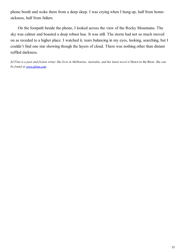phone booth and woke them from a deep sleep. I was crying when I hung up, half from homesickness, half from failure.

On the footpath beside the phone, I looked across the view of the Rocky Mountains. The sky was calmer and boasted a deep robust hue. It was still. The storm had not so much moved on as receded to a higher place. I watched it, tears balancing in my eyes, looking, searching, but I couldn't find one star showing though the layers of cloud. There was nothing other than distant ruffled darkness.

*SJ Finn is a poet and fiction writer. She lives in Melbourne, Australia, and her latest novel is* Down to the River*. She can be found at [www.sjfinn.com.](http://www.sjfinn.com/)*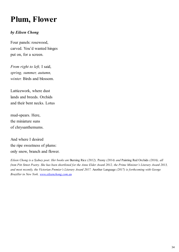## **Plum, Flower**

#### *by Eileen Chong*

Four panels: rosewood, carved. You'd wanted hinges put on, for a screen.

*From right to left,* I said, *spring, summer, autumn, winter.* Birds and blossom.

Latticework, where dust lands and breeds. Orchids and their bent necks. Lotus

mud-spears. Here, the miniature suns of chrysanthemums.

And where I desired the ripe sweetness of plums: only snow, branch and flower.

*Eileen Chong is a Sydney poet. Her books are* Burning Rice *(2012),* Peony *(2014) and* Painting Red Orchids *(2016), all from Pitt Street Poetry. She has been shortlisted for the Anne Elder Award 2012, the Prime Minister's Literary Award 2013, and most recently, the Victorian Premier's Literary Award 2017.* Another Language *(2017) is forthcoming with George Braziller in New York. [www.eileenchong.com.au](http://www.eileenchong.com.au/)*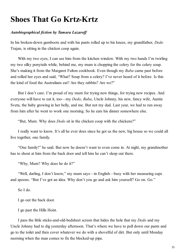### **Shoes That Go Krtz-Krtz**

#### *Autobiographical fiction by Tamara Lazaroff*

In his broken-down gumboots and with his pants rolled up to his knees, my grandfather, *Dedo* Trajan, is sitting in the chicken coop again.

With my two eyes, I can see him from the kitchen window. With my two hands I'm twirling my two silky ponytails while, behind me, my mum is chopping the celery for the celery soup. She's making it from the Margaret Fulton cookbook. Even though my *Baba* came past before and rolled her eyes and said, "What? Soup from a celery? I've never heard of it before. Is this the kind of food the Australians eat? Are they rabbits? Are we?"

But I don't care. I'm proud of my mum for trying new things, for trying new recipes. And everyone will have to eat it, too—my *Dedo*, *Baba*, Uncle Johnny, his new, fancy wife, Auntie Sveta, the baby growing in her belly, and me. But not my dad. Last year, we had to run away from him after he went to work one morning. So he eats his dinner somewhere else.

"But, Mum. Why does *Dedo* sit in the chicken coop with the chickens?"

I really want to know. It's all he ever does since he got us the new, big house so we could all live together, one family.

"One family!" he said. But now he doesn't want to even come in. At night, my grandmother has to shout at him from the back door and tell him he can't sleep out there.

"Why, Mum? Why does he do it?"

"Well, darling, I don't know," my mum says—in English—busy with her measuring cups and spoons. "But I've got an idea. Why don't you go and ask him yourself? Go on. Go."

So I do.

I go out the back door.

I go past the Hills Hoist.

I pass the little sticks-and-old-bedsheet screen that hides the hole that my *Dedo* and my Uncle Johnny had to dig yesterday afternoon. That's where we have to pull down our pants and go to the toilet and then cover whatever we do with a shovelful of dirt. But only until Monday morning when the man comes to fix the blocked-up pipe.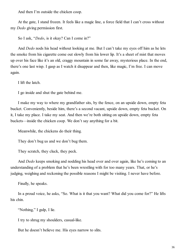And then I'm outside the chicken coop.

At the gate, I stand frozen. It feels like a magic line, a force field that I can't cross without my *Dedo* giving permission first.

So I ask, "*Dedo*, is it okay? Can I come in?"

And *Dedo* nods his head without looking at me. But I can't take my eyes off him as he lets the smoke from his cigarette come out slowly from his lower lip. It's a sheet of mist that moves up over his face like it's an old, craggy mountain in some far away, mysterious place. In the end, there's one last wisp. I gasp as I watch it disappear and then, like magic, I'm free. I can move again.

I lift the latch.

I go inside and shut the gate behind me.

I make my way to where my grandfather sits, by the fence, on an upside down, empty feta bucket. Conveniently, beside him, there's a second vacant, upside down, empty feta bucket. On it, I take my place. I take my seat. And then we're both sitting on upside down, empty feta buckets—inside the chicken coop. We don't say anything for a bit.

Meanwhile, the chickens do their thing.

They don't bug us and we don't bug them.

They scratch, they cluck, they peck.

And *Dedo* keeps smoking and nodding his head over and over again, like he's coming to an understanding of a problem that he's been wrestling with for too many years. That, or he's judging, weighing and reckoning the possible reasons I might be visiting. I never have before.

Finally, he speaks.

In a proud voice, he asks, "So. What is it that you want? What did you come for?" He lifts his chin.

"Nothing," I gulp, I lie.

I try to shrug my shoulders, casual-like.

But he doesn't believe me. His eyes narrow to slits.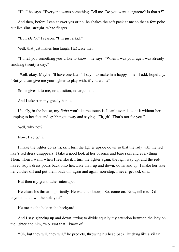"Ha!" he says. "Everyone wants something. Tell me. Do you want a cigarette? Is that it?"

And then, before I can answer yes or no, he shakes the soft pack at me so that a few poke out like slim, straight, white fingers.

"But, *Dedo*," I reason. "I'm just a kid."

Well, that just makes him laugh. Ha! Like that.

"I'll tell you something you'd like to know," he says. "When I was your age I was already smoking twenty a day."

"Well, okay. Maybe I'll have one later," I say—to make him happy. Then I add, hopefully. "But you can give me your lighter to play with, if you want?"

So he gives it to me, no question, no argument.

And I take it in my greedy hands.

Usually, in the house, my *Baba* won't let me touch it. I can't even look at it without her jumping to her feet and grabbing it away and saying, "Eh, girl. That's not for you."

Well, why not?

Now, I've got it.

I make the lighter do its tricks. I turn the lighter upside down so that the lady with the red hair's red dress disappears. I take a good look at her bosoms and bare skin and everything. Then, when I want, when I feel like it, I turn the lighter again, the right way up, and the redhaired lady's dress pours back onto her. Like that, up and down, down and up, I make her take her clothes off and put them back on, again and again, non-stop. I never get sick of it.

But then my grandfather interrupts.

He clears his throat importantly. He wants to know, "So, come on. Now, tell me. Did anyone fall down the hole yet?"

He means the hole in the backyard.

And I say, glancing up and down, trying to divide equally my attention between the lady on the lighter and him, "No. Not that I know of."

"Oh, but they will, they will," he predicts, throwing his head back, laughing like a villain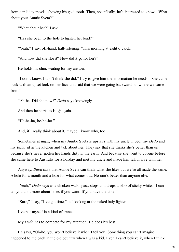from a midday movie, showing his gold tooth. Then, specifically, he's interested to know, "What about your Auntie Sveta?"

"What about her?" I ask.

"Has she been to the hole to lighten her load?"

"Yeah," I say, off-hand, half-listening. "This morning at eight o'clock."

"And how did she like it? How did it go for her?"

He holds his chin, waiting for my answer.

"I don't know. I don't think she did." I try to give him the information he needs. "She came back with an upset look on her face and said that we were going backwards to where we came from."

"Ah-ha. Did she now?" *Dedo* says knowingly.

And then he starts to laugh again.

"Ha-ha-ha, ho-ho-ho."

And, if I really think about it, maybe I know why, too.

Sometimes at night, when my Auntie Sveta is upstairs with my uncle in bed, my *Dedo* and my *Baba* sit in the kitchen and talk about her. They say that she thinks she's better than us because she's never gotten her hands dirty in the earth. And because she went to college before she came here to Australia for a holiday and met my uncle and made him fall in love with her.

Anyway, *Baba* says that Auntie Sveta can think what she likes but we're all made the same. A hole for a mouth and a hole for what comes out. No one's better than anyone else.

"Yeah," *Dedo* says as a chicken walks past, stops and drops a blob of sticky white. "I can tell you a lot more about holes if you want. If you have the time."

"Sure," I say, "I've got time," still looking at the naked lady lighter.

I've put myself in a kind of trance.

My *Dedo* has to compete for my attention. He does his best.

He says, "Oh-ho, you won't believe it when I tell you. Something you can't imagine happened to me back in the old country when I was a kid. Even I can't believe it, when I think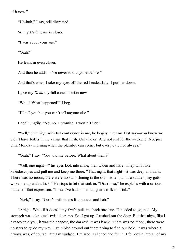of it now."

"Uh-huh," I say, still distracted.

So my *Dedo* leans in closer.

"I was about your age."

"Yeah?"

He leans in even closer.

And then he adds, "I've never told anyone before."

And that's when I take my eyes off the red-headed lady. I put her down.

I give my *Dedo* my full concentration now.

"What? What happened?" I beg.

"I'll tell you but you can't tell anyone else."

I nod hungrily. "No, no. I promise. I won't. Ever."

"Well," chin high, with full confidence in me, he begins. "Let me first say—you know we didn't have toilets in the village that flush. Only holes. And not just for the weekend. Not just until Monday morning when the plumber can come, but every day. For always."

"Yeah," I say. "You told me before. What about them?"

"Well, one night—" his eyes look into mine, then widen and flare. They whirl like kaleidoscopes and pull me and keep me there. "That night, that night—it was deep and dark. There was no moon, there were no stars shining in the sky—when, all of a sudden, my guts woke me up with a kick." He stops to let that sink in. "Diarrhoea," he explains with a serious, matter-of-fact expression. "I must've had some bad goat's milk to drink."

"Yuck," I say. "Goat's milk tastes like hooves and hair."

"Alright. What if it does?" my *Dedo* pulls me back into line. "I needed to go, bad. My stomach was a knotted, twisted cramp. So, I got up. I rushed out the door. But that night, like I already told you, it was the deepest, the darkest. It was black. There was no moon, there were no stars to guide my way. I stumbled around out there trying to find our hole. It was where it always was, of course. But I misjudged. I missed. I slipped and fell in. I fell down into all of my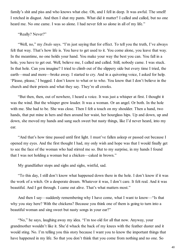family's shit and piss and who knows what else. Oh, and I fell in deep. It was awful. The smell! I retched in disgust. And then I shat my pants. What did it matter? I called and called, but no one heard me. No one came. I was so alone. I had never felt so alone in all of my life."

"Really? Never?"

"Well, no," my *Dedo* says. "I'm just saying that for effect. To tell you the truth, I've always felt that way. That's how life is. You have to get used to it. You come alone, you leave that way. In the meantime, no one holds your hand. You make your way the best you can. You fall in a hole, you have to get out. Well, believe me, I called and called. Still, nobody came. I was stuck. In that hole. Can you imagine? I tried to climb out of the slippery side but every time I tried, the earth—mud and more—broke away. I started to cry. And in a quivering voice, I asked for help. 'Please, please,' I begged. I don't know to what or to who. You know that I don't believe in the church and their priests and what they say. They're all crooks.

"But then, then, out of nowhere, I heard a voice. It was just a whisper at first. I thought it was the wind. But the whisper grew louder. It was a woman. Or an angel. Or both. In the hole with me. She had to be. She was close. Then I felt a touch on my shoulder. Then a hand, two hands, that put mine in hers and then around her waist, her hourglass hips. Up and down, up and down, she moved my hands and sang such sweet but nasty things, like I'd never heard, into my ear.

"And that's how time passed until first light. I must've fallen asleep or passed out because I opened my eyes. And the first thought I had, my only wish and hope was that I would finally get to see the face of the woman who had stirred me so. But to my surprise, in my hands I found that I was not holding a woman but a chicken—caked in brown."

My grandfather stops and sighs and sighs, wistful, sad.

"To this day, I still don't know what happened down there in the hole. I don't know if it was the work of a witch. Or a desperate dream. Whatever it was, I don't care. It felt real. And it was beautiful. And I got through. I came out alive. That's what matters most."

And then I say—suddenly remembering why I have come, what I want to know—"Is that why you stay here? With the chickens? Because you think one of them is going to turn into a beautiful woman and sing sweet but nasty songs in your ear?"

"No," he says, laughing away my idea. "I'm too old for all that now. Anyway, your grandmother wouldn't like it. She'd whack the back of my knees with the feather duster and it would sting. No. I'm telling you this story because I want you to know the important things that have happened in my life. So that you don't think that you come from nothing and no one. So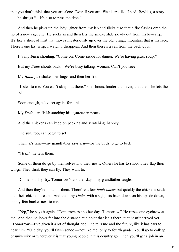that you don't think that you are alone. Even if you are. We all are, like I said. Besides, a story —" he shrugs "—it's also to pass the time."

And then he picks up the lady lighter from my lap and flicks it so that a fire flashes onto the tip of a new cigarette. He sucks in and then lets the smoke slide slowly out from his lower lip. It's like a sheet of mist that moves mysteriously up over the old, craggy mountain that is his face. There's one last wisp. I watch it disappear. And then there's a call from the back door.

It's my *Baba* shouting, "Come on. Come inside for dinner. We're having grass soup."

But my *Dedo* shouts back, "We're busy talking, woman. Can't you see?"

My *Baba* just shakes her finger and then her fist.

"Listen to me. You can't sleep out there," she shouts, louder than ever, and then she lets the door slam.

Soon enough, it's quiet again, for a bit.

My *Dedo* can finish smoking his cigarette in peace.

And the chickens can keep on pecking and scratching, happily.

The sun, too, can begin to set.

Then, it's time—my grandfather says it is—for the birds to go to bed.

"*Mrsh!*" he tells them.

Some of them do go by themselves into their nests. Others he has to shoo. They flap their wings. They think they can fly. They want to.

"Come on. Try, try. Tomorrow's another day," my grandfather laughs.

And then they're in, all of them. There're a few *bach-bachs* but quickly the chickens settle into their chicken dreams. And then my *Dedo*, with a sigh, sits back down on his upside down, empty feta bucket next to me.

"Yep," he says it again. "Tomorrow is another day. Tomorrow." He raises one eyebrow at me. And then he looks far into the distance at a point that isn't there, that hasn't arrived yet. "Tomorrow—I've given it a lot of thought, too," he tells me and the future, like it has ears to hear him. "One day, you'll finish school—not like me, only to fourth grade. You'll go to college or university or wherever it is that young people in this country go. Then you'll get a job in an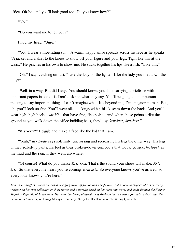office. Oh-ho, and you'll look good too. Do you know how?"

"No."

"Do you want me to tell you?"

I nod my head. "Sure."

"You'll wear a nice-fitting suit." A warm, happy smile spreads across his face as he speaks. "A jacket and a skirt to the knees to show off your figure and your legs. Tight like this at the waist." He pinches in his own to show me. He sucks together his lips like a fish. "Like this."

"Oh," I say, catching on fast. "Like the lady on the lighter. Like the lady you met down the hole?"

"Well, in a way. But did I say? You should know, you'll be carrying a briefcase with important papers inside of it. Don't ask me what they say. You'll be going to an important meeting to say important things. I can't imagine what. It's beyond me, I'm an ignorant man. But, oh, you'll look so fine. You'll wear silk stockings with a black seam down the back. And you'll wear high, high heels—*shtikli*—that have fine, fine points. And when those points strike the ground as you walk down the office building halls, they'll go *krtz-krtz*, *krtz-krtz*."

"*Krtz-krtz*?" I giggle and make a face like the kid that I am.

"Yeah," my *Dedo* says solemnly, uncrossing and recrossing his legs the other way. His legs in their rolled-up pants, his feet in their broken-down gumboots that would go *sloosh-sloosh* in the mud and the rain, if they went anywhere.

"Of course! What do you think? *Krtz-krtz*. That's the sound your shoes will make. *Krtzkrtz*. So that everyone hears you're coming. *Krtz-krtz.* So everyone knows you've arrived, so everybody knows you're here."

*Tamara Lazaroff is a Brisbane-based emerging writer of fiction and non-fiction, and a sometimes-poet. She is currently working on her first collection of short stories and a novella based on her roots tour travel and study through the Former Yugoslav Republic of Macedonia. Her work has been published, or is forthcoming in various journals in Australia, New Zealand and the U.K, including* Meanjin*,* Southerly*,* Verity La*,* Headland *and* The Wrong Quarterly*.*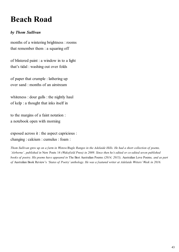# **Beach Road**

#### *by Thom Sullivan*

months of a wintering brightness : rooms that remember them : a squaring off

of blistered paint : a window in to a light that's tidal : washing out over folds

of paper that crumple : lathering up over sand : months of an airstream

whiteness : dour gulls : the nightly haul of kelp : a thought that inks itself in

to the margins of a faint notation : a notebook open with morning

exposed across it : the aspect capricious : changing : calcium : cumulus : foam :

*Thom Sullivan grew up on a farm in Wistow/Bugle Ranges in the Adelaide Hills. He had a short collection of poems, 'Airborne', published in* New Poets 14 *(Wakefield Press) in 2009. Since then he's edited or co-edited seven published books of poetry. His poems have appeared in* The Best Australian Poems *(2014, 2015),* Australian Love Poems*, and as part of* Australian Book Review's *'States of Poetry' anthology. He was a featured writer at Adelaide Writers' Week in 2016.*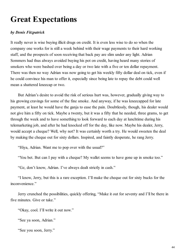## **Great Expectations**

#### *by Denis Fitzpatrick*

It really never is wise buying illicit drugs on credit. It is even less wise to do so when the company one works for is still a week behind with their wage payments to their hard working staff, and the prospects of soon receiving that back pay are slim under any light. Adrian Sommers had thus always avoided buying his pot on credit, having heard many stories of smokers who were bashed over being a day or two late with a five or ten dollar repayment. There was then no way Adrian was now going to get his weekly fifty dollar deal on tick, even if he could convince his man to offer it, especially since being late to repay the debt could well mean a shattered kneecap or two.

But Adrian's desire to avoid the risk of serious hurt was, however, gradually giving way to his growing cravings for some of the fine smoke. And anyway, if he was kneecapped for late payment, at least he would have the ganja to ease the pain. Doubtlessly, though, his dealer would not give him a fifty on tick. Maybe a twenty, but it was a fifty that he needed, three grams, to get through the week and to have something to look forward to each day at lunchtime during his telemarketing job, and after he had knocked off for the day, like now. Maybe his dealer, Jerry, would accept a cheque? Well, why not? It was certainly worth a try. He would sweeten the deal by making the cheque out for sixty dollars. Inspired, and faintly desperate, he rang Jerry.

"Hiya, Adrian. Want me to pop over with the usual?"

"You bet. But can I pay with a cheque? My wallet seems to have gone up in smoke too."

"Gz, don't know, Adrian. I've always dealt strictly in cash."

"I know, Jerry, but this is a rare exception. I'll make the cheque out for sixty bucks for the inconvenience."

Jerry crunched the possibilities, quickly offering, "Make it out for seventy and I'll be there in five minutes. Give or take."

"Okay, cool. I'll write it out now."

"See ya soon, Adrian."

"See you soon, Jerry."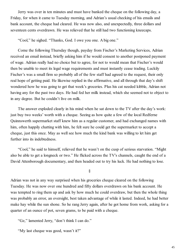Jerry was over in ten minutes and must have banked the cheque on the following day, a Friday, for when it came to Tuesday morning, and Adrian's usual checking of his emails and bank account, the cheque had cleared. He was now also, and unexpectedly, three dollars and seventeen cents overdrawn. He was relieved that he still had two functioning kneecaps.

"Cool," he sighed. "Thanks, God. I owe you one. A big one."

Come the following Thursday though, payday from Fischer's Marketing Services, Adrian received an email instead, briefly asking him if he would consent to another postponed payment of wage. Adrian really had no choice but to agree, for not to would mean that Fischer's would then be unable to meet its legal wage requirements and must instantly cease trading. Luckily Fischer's was a small firm so probably all of the few staff had agreed to the request, their only real hope of getting paid. He likewise replied in the affirmative, and all through that day's shift wondered how he was going to get that week's groceries. Plus his cat needed kibble, Adrian not having any for the past two days. He had fed her milk instead, which she seemed not to object to in any degree. But he couldn't live on milk.

The answer exploded clearly in his mind when he sat down to the TV after the day's work: just buy two weeks' worth with a cheque. Seeing as how quite a few of the local Redferne Quinnswerth supermarket staff knew him as a regular customer, and had exchanged names with him, often happily chatting with him, he felt sure he could get the supermarket to accept a cheque, just this once. May as well see how much the kind bank was willing to let him get further into its indebtedness.

"Cool," he said to himself, relieved that he wasn't on the cusp of serious starvation. "Might also be able to get a longneck or two." He flicked across the TV's channels, caught the end of a David Attenborough documentary, and then headed out to try his luck. He had nothing to lose.

§

Adrian was not in any way surprised when his groceries cheque cleared on the following Tuesday. He was now over one hundred and fifty dollars overdrawn on his bank account. He was tempted to ring them up and ask by how much he could overdraw, but then the whole thing was probably an error, an oversight, best taken advantage of while it lasted. Indeed, he had better make hay while the sun shone. So he rang Jerry again, after he got home from work, asking for a quarter of an ounce of pot, seven grams, to be paid with a cheque.

"Gz," lamented Jerry, "don't think I can do."

"My last cheque was good, wasn't it?"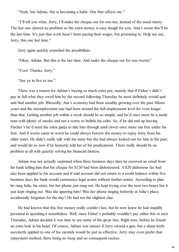"Yeah, but Adrian, this is becoming a habit. One that affects me."

"I'll tell you what, Jerry, I'll make the cheque out for one-ten, instead of the usual ninety. The last one cleared no problem so the extra money is easy dough for you. And I swear this'll be the last time. It's just that work hasn't been paying their wages, but promising to. Help me out, Jerry, this one last time."

Jerry again quickly crunched the possibilities.

"Okay, Adrian. But this is the last time. And make the cheque out for one-twenty"

"Cool. Thanks, Jerry."

"See ya in five or ten."

There was a reason for Adrian's buying so much extra pot, namely that if Fisher's didn't pay in full what they owed him by the second following Thursday he most definitely would quit and find another job. Blessedly, Aus's economy had been steadily growing over the past fifteen years and the unemployment rate had been around the full employment level for even longer than that. Getting another job within a week should be so simple, and he'd once more be a made man with plenty of smoko and not a worry to belittle his calm. So, if he did end up leaving Fischer's he'd need the extra ganja to tide him through until clover once more ran free under his feet. And if worse came to worst he could always borrow the money to repay Jerry from his older sister. He didn't really talk with his sister but she had always looked out for him in the past, and would do so now if he honestly told her of his predicament. There really should be no problem at all with quickly solving his financial distress.

Adrian was not actually surprised when three business days later he received an email from his bank telling him that his cheque for \$120 had been dishonoured. A \$20 dishonour fee had also been applied to his account and if said account did not return to a credit balance within five business days the bank would commence legal action without further notice. According to plan he rang Julia, his sister, but her phone just rang out. He kept trying over the next two hours but it just kept ringing out. Was she ignoring him? Was her phone ringing forlornly at Julia's place, accidentally forgotten for the day? He had not the slightest clue.

He had known that this free money really couldn't last, but he now knew he had stupidly persisted in spending it nonetheless. Well, since Fisher's probably wouldn't pay either this or next Thursday, Adrian decided it was time to see some of the great Aus. Right now, before he found an extra hole in his head. Of course, Adrian was unsure if Jerry owned a gun, but a sharp knife succinctly applied to one of his carotids would be just as effective. Jerry may even prefer that repayment method, there being no *bang* and no consequent ruckus.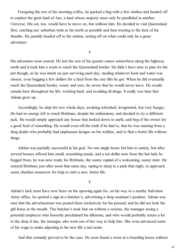Foregoing the rest of his morning coffee, he packed a bag with a few clothes and headed off to explore the great land of Aus, a land whose majesty must only be paralleled in another Universe. His cat, too, would have to move on, but without him. He decided to visit Queensland first, catching any suburban train as far north as possible and then trusting to the luck of his thumbs. He jauntily headed off to the station, setting off on what could only be a great adventure.

§

His adventure soon soured. He lost the rest of his quarter ounce somewhere along the highway north and it took him a week to reach the Queensland border. He didn't have time to pine for his pot though, as he was intent on just surviving each day, stealing whatever food and water was closest, even begging a few dollars for a feed from the rare lifts he got. When he did eventually reach the Queensland border, weary and sore, he swore that he would never leave. He would remain here throughout his life, working hard, and avoiding all drugs. It really was time that Adrian grew up.

Accordingly, he slept for two whole days, awaking refreshed, invigorated, but very hungry. He had no energy left to reach Brisbane, despite his enthusiasm, and decided to try a different tack. He would simply approach any house that looked down to earth, and beg of the owner for a good feed of something. He would even tell the truth if he had to, that he was running from a drug dealer who probably had unpleasant designs on his welfare, and to find a better life without drugs.

Adrian was partially successful in his goal. No one single home fed him to satiety, but after several houses offered him small, nourishing meals, and a ten dollar note from the last lady he begged from, he was now ready for Brisbane, the sunny capital of a welcoming, sunny state. He entered Brisbane just after noon that same day, opting to sleep in a park that night, to approach some charities tomorrow for help to start a new, better life.

§

Adrian's luck must have now been on the upswing again for, on his way to a nearby Salvation Army office, he spotted a sign in a butcher's, advertising a shop assistant's position. Adrian was sure that the advertisement was posted there exclusively for his perusal, and he did not look the gift horse in the mouth. The butcher's took him on without a resume, the manager seeing a potential employee who honestly proclaimed his dilemma, and who would probably return a lot to the shop if she, the manager, also went out of her way to help him. She even advanced some of his wage to make adjusting to his new life a tad easier.

And that certainly proved to be the case. He soon found a room in a boarding house without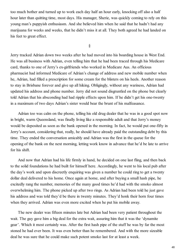too much bother and turned up to work each day half an hour early, knocking off also a half hour later than quitting time, most days. His manager, Sherie, was quickly coming to rely on this young man's puppyish enthusiasm. And she believed him when he said that he hadn't had any marijuana for weeks and weeks, that he didn't miss it at all. They both agreed he had landed on his feet to great effect.

§

Jerry tracked Adrian down two weeks after he had moved into his boarding house in West End. He was all business with Adrian, even telling him that he had been traced through his Medicare card, thanks to one of Jerry's ex-girlfriends who worked in Medicare Aus. An officious pharmacist had informed Medicare of Adrian's change of address and new mobile number when he, Adrian, had filled a prescription for some cream for the blisters on his heels. Another reason to stay in Brisbane forever and give up all hiking. Obligingly, without any wariness, Adrian had updated his address and phone number. Jerry did not sound disgruntled on the phone but clearly told Adrian that his absconding had had ripple effects upon him. If he didn't get his one-twenty in a maximum of two days Adrian's sister would bear the brunt of his malfeasance.

Adrian too was calm on the phone, telling his old drug dealer that he was in a good spot now in bright, warm Queensland, was finally living like a responsible adult and that Jerry's money would be deposited as soon as the bank opened in the morning. In fact, he would put one-fifty in Jerry's account, considering that, really, he should have already paid the outstanding debt by this time. They ended the conversation amicably and Adrian was the first in the queue for the opening of the bank on the next morning, letting work know in advance that he'd be late to arrive for his shift.

And now that Adrian had his life firmly in hand, he decided on one last fling, and then back to the solid foundations he had built for himself here. Accordingly, he went to his local pub after the day's work and upon discreetly enquiring was given a number he could ring to get a twenty dollar deal delivered to his home. Once again at home, and after buying a small hash pipe, he excitedly rang the number, memories of the many good times he'd had with the smoko almost overwhelming him. The phone picked up after two rings. As Adrian had been told he just gave his address and was told they'd be there in twenty minutes. They'd honk their horn four times when they arrived. Adrian was even more excited when he put his mobile away.

The new dealer was fifteen minutes late but Adrian had been very patient throughout the wait. The guy gave him a big deal for the extra wait, assuring him that it was the 'dynamite gear'. Which it most certainly was. After the first hash pipe of the stuff he was by far the most stoned he had ever been. It was even better than he remembered. And with the more sizeable deal he was sure that he could make such potent smoko last for at least a week.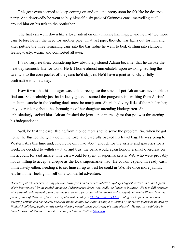This gear even seemed to keep coming on and on, and pretty soon he felt like he deserved a party. And deservedly he went to buy himself a six pack of Guinness cans, marvelling at all around him on his trek to the bottleshop.

The first can went down like a lover intent on only making him happy, and he had two more cans before he felt the need for another pipe. That last pipe, though, was lights out for him and, after putting the three remaining cans into the bar fridge he went to bed, drifting into slumber, feeling toasty, warm, and comforted all over.

It's no surprise then, considering how absolutely stoned Adrian became, that he awoke the next day seriously late for work. He left home almost immediately upon awaking, stuffing the twenty into the coin pocket of the jeans he'd slept in. He'd have a joint at lunch, to fully acclimatise to a new day.

How it was that his manager was able to recognise the smell of pot Adrian was never able to find out. She probably just had a lucky guess, assumed the pungent stink wafting from Adrian's lunchtime smoke in the loading dock must be marijuana. Sherie had very little of the rebel in her, only ever talking about the shenanigans of her daughter attending kindergarten. She unhesitatingly sacked him. Adrian finished the joint, once more aghast that pot was threatening his independence.

Well, be that the case, fleeing from it once more should solve the problem. So, when he got home, he flushed the ganja down the toilet and carefully packed his travel bag. He was going to Western Aus this time and, finding he only had about enough for the airfare and groceries for a week, he decided to withdraw it all and trust the bank would again honour a small overdraw on his account for said airfare. The cash would be spent in supermarkets in WA, who were probably not as willing to accept a cheque as the local supermarket had. He couldn't spend his ready cash immediately either, needing it to set himself up as best he could in WA. He once more jauntily left his home, feeling himself on a wonderful adventure.

*Denis Fitzpatrick has been writing for over thirty years and has been labelled "Sydney's hippest writer" and "the hippest of off-beat writers" by the publishing house, Independence Jones (now, sadly, no longer in business). He is in full remission with paranoid schizophrenia, and over the past several years has written almost exclusively about mental illness, from the point of view of those so affected. He is published monthly at [The Short Stories Club,](http://www.shortstoriesclub.com/) a blog run to promote new and emerging writers, and has several books available online. He is also having a collection of his stories published in 2018 by Waldorf Publishing, again, mostly stories viewing mental illness positively, if a little bizarrely. He was also published in Issue Fourteen of* Tincture Journal*. You can find him on Twitter [@viearus](https://twitter.com/viearus).*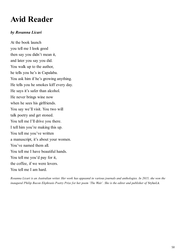# **Avid Reader**

#### *by Rosanna Licari*

At the book launch you tell me I look good then say you didn't mean it, and later you say you did. You walk up to the author, he tells you he's in Capalaba. You ask him if he's growing anything. He tells you he smokes kiff every day. He says it's safer than alcohol. He never brings wine now when he sees his girlfriends. You say we'll visit. You two will talk poetry and get stoned. You tell me I'll drive you there. I tell him you're making this up. You tell me you've written a manuscript, it's about your women. You've named them all. You tell me I have beautiful hands. You tell me you'd pay for it, the coffee, if we were lovers. You tell me I am hard.

*Rosanna Licari is an Australian writer. Her work has appeared in various journals and anthologies. In 2015, she won the inaugural Philip Bacon Ekphrasis Poetry Prize for her poem 'The Wait'. She is the editor and publisher of* StylusLit*.*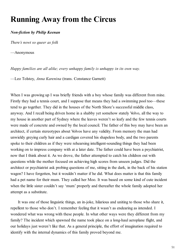### **Running Away from the Circus**

#### *Non-fiction by Philip Keenan*

*There's nowt so queer as folk*

—Anonymous

*Happy families are all alike; every unhappy family is unhappy in its own way.*

—Leo Tolstoy, *Anna Karenina* (trans. Constance Garnett)

When I was growing up I was briefly friends with a boy whose family was different from mine. Firstly they had a tennis court, and I suppose that means they had a swimming pool too—these tend to go together. They did in the houses of the North Shore's successful middle class, anyway. And I recall being driven home in a shabby yet somehow stately Volvo, all the way to my house in another part of Sydney where the leaves weren't so leafy and the few tennis courts were made of concrete and owned by the local council. The father of this boy may have been an architect, if certain stereotypes about Volvos have any validity. From memory the man had unwieldy greying curly hair and a cardigan covered his shapeless body, and the two parents spoke to their children as if they were rehearsing intelligent-sounding things they had been working on to impress company with at a later date. The father could have been a psychiatrist, now that I think about it. As we drove, the father attempted to catch his children out with questions while the mother focused on achieving high scores from unseen judges. Did the architect or psychiatrist ask probing questions of me, sitting in the dark, in the back of his station wagon? I have forgotten, but it wouldn't matter if he did. What does matter is that this family had a pet name for their mum. They called her Moo. It was based on some kind of cute incident when the little sister couldn't say 'mum' properly and thereafter the whole family adopted her attempt as a substitute.

It was one of those linguistic things, an in-joke, hilarious and uniting to those who share it, repellent to those who don't. I remember feeling that it wasn't as endearing as intended. I wondered what was wrong with these people. In what other ways were they different from my family? The incident which spawned the name took place on a long-haul aeroplane flight, and our holidays just weren't like that. As a general principle, the effort of imagination required to identify with the internal dynamics of this family proved beyond me.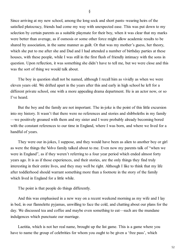Since arriving at my new school, among the long sock and short pants–wearing heirs of the satisfied plutocracy, friends had come my way with unexpected ease. This was put down to my selection by certain parents as a suitable playmate for their boy, when it was clear that my marks were better than average, as if osmosis or some other force might allow academic results to be shared by association, in the same manner as guilt. Or that was my mother's guess, her theory, which she put to me after she and Dad and I had attended a number of birthday parties at these houses, with these people, while I was still in the first flush of friendly intimacy with the sons in question. Upon reflection, it was something she didn't have to tell me, but we were close and this was the sort of thing we would talk about.

The boy in question shall not be named, although I recall him as vividly as when we were eleven years old. We drifted apart in the years after this and early in high school he left for a different private school, one with a more appealing drama department. He is an actor now, or so I've heard.

But the boy and the family are not important. The in-joke is the point of this little excursion into my history. It wasn't that there were no references and stories and shibboleths in my family —we positively groaned with them and my sister and I were probably already becoming bored with the constant references to our time in England, where I was born, and where we lived for a handful of years.

They were our in-jokes, I suppose, and they would have been as alien to another boy or girl as were the things the Volvo family talked about to me. Even now my parents talk of "when we were in England", as if they weren't referring to a four year period which ended almost forty years ago. It is as if those experiences, and their stories, are the only things they find truly interesting in their entire lives, and they may well be right. Although I like to think that my life after toddlerhood should warrant something more than a footnote in the story of the family which lived in England for a little while.

The point is that people do things differently.

And this was emphasised in a new way on a recent weekend morning as my wife and I lay in bed, in our flannelette pyjamas, unwilling to face the cold, and chatting about our plans for the day. We discussed tea and coffee and maybe even something to eat—such are the mundane indulgences which punctuate our marriage.

Laetitia, which is not her real name, brought up the list game. This is a game where you have to name the group of celebrities for whom you ought to be given a 'free pass', which

§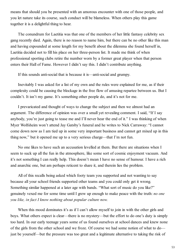means that should you be presented with an amorous encounter with one of those people, and you let nature take its course, such conduct will be blameless. When others play this game together it is a delightful thing to hear.

The conundrum for Laetitia was that one of the members of her little fantasy celebrity sex gang recently died. Again, there is no reason to name him, but there can be no other like this man and having expounded at some length for my benefit about the dilemma she found herself in, Laetitia decided not to fill his place on her three-person list. It made me think of when professional sporting clubs retire the number worn by a former great player when that person enters their Hall of Fame. However I didn't say this. I didn't contribute anything.

If this sounds anti-social that is because it is—anti-social and grumpy.

Inevitably I was asked for a list of my own and the rules were explained for me, as if their complexity could be causing the blockage in the free flow of amusing repartee between us. But I couldn't. It isn't my game. It's something other people do, and it's not for me.

I prevaricated and thought of ways to change the subject and then we almost had an argument. The difference of opinion was over a small yet revealing comment. I said, "If I say anybody, you're just going to tease me and I'll never hear the end of it." I was thinking of when Myer Wolfsheim won't attend Jay Gatsby's funeral and he writes to Nick Carraway: "I cannot come down now as I am tied up in some very important business and cannot get mixed up in this thing now," but it opened me up to a very serious charge—that I'm not fun.

No one likes to have such an accusation levelled at them. But there are situations when I seem to suck up all the fun in the atmosphere, like some sort of cosmic enjoyment vacuum. And it's not something I can really help. This doesn't mean I have no sense of humour. I have a rich and anarchic one, but am perhaps reticent to share it, and therein lies the problem.

All of this recalls being asked which footy team you supported and not wanting to say because all your school friends supported other teams and you could only get it wrong. Something similar happened at a later age with bands. "What sort of music do you like?" genuinely vexed me for some time until I grew up enough to make peace with the truth: *no one you like, in fact I know nothing about popular culture now.*

When this mood dominates it's as if I can't allow myself to join in with the other girls and boys. What others expect is clear—there is no mystery—but the effort to do one's duty is simply too hard. In our early teenage years some of us found ourselves at school dances and knew none of the girls from the other school and we froze. Of course we had some notion of what to do just be yourself—but the pressure was too great and a legitimate alternative to taking the risk of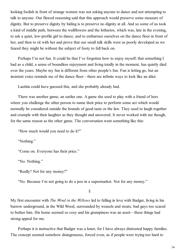looking foolish in front of strange women was not asking anyone to dance and not attempting to talk to anyone. Our flawed reasoning said that this approach would preserve some measure of dignity. But to preserve dignity by hiding is to preserve no dignity at all. And so some of us took a kind of middle path, between the wallflowers and the lotharios, which was, late in the evening, to ask a quiet, low-profile girl to dance, and to embarrass ourselves on the dance floor in front of her, and then to sit with her and prove that our small talk skills were as poorly developed as we feared they might be without the subject of footy to fall back on.

Perhaps I'm not fun. It could be that I've forgotten how to enjoy myself: that something I had as a child, a sense of boundless enjoyment and living totally in the moment, has quietly died over the years. Maybe my fun is different from other people's fun. Fun is letting go, but an insistent voice reminds me of the dance floor—there are infinite ways to look like an idiot.

Laetitia could have guessed this, and she probably already had.

There was another game, an earlier one. A game she used to play with a friend of hers where you challenge the other person to name their price to perform some act which would normally be considered outside the bounds of good taste or the law. They used to laugh together and crumple with their laughter as they thought and answered. It never worked with me though, for the same reason as the other game. The conversation went something like this:

"How much would you need to do it?"

"Nothing."

"Come on. Everyone has their price."

"No. Nothing."

"Really? Not for any money?"

"No. Because I'm not going to do a poo in a supermarket. Not for any money."

§

My first encounter with *The Wind in the Willows* led to falling in love with Badger, living in his burrow underground, in the Wild Wood, surrounded by weasels and stoats, bad guys too scared to bother him. His home seemed so cosy and his grumpiness was an asset—these things had strong appeal for me.

Perhaps it is instructive that Badger was a loner, for I have always distrusted happy families. The concept seemed somehow disingenuous, forced even, as if people were trying too hard to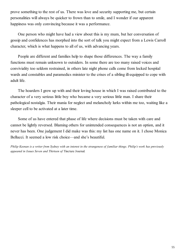prove something to the rest of us. There was love and security supporting me, but certain personalities will always be quicker to frown than to smile, and I wonder if our apparent happiness was only convincing because it was a performance.

One person who might have had a view about this is my mum, but her conversation of gossip and confidences has morphed into the sort of talk you might expect from a Lewis Carroll character, which is what happens to all of us, with advancing years.

People are different and families help to shape those differences. The way a family functions must remain unknown to outsiders. In some there are too many raised voices and conviviality too seldom restrained, in others late night phone calls come from locked hospital wards and constables and paramedics minister to the crises of a sibling ill-equipped to cope with adult life.

The hoarders I grew up with and their loving house in which I was raised contributed to the character of a very serious little boy who became a very serious little man. I share their pathological nostalgia. Their mania for neglect and melancholy lurks within me too, waiting like a sleeper cell to be activated at a later time.

Some of us have entered that phase of life where decisions must be taken with care and cannot be lightly reversed. Blaming others for unintended consequences is not an option, and it never has been. One judgement I did make was this: my list has one name on it. I chose Monica Bellucci. It seemed a low risk choice—and she's beautiful.

*Philip Keenan is a writer from Sydney with an interest in the strangeness of familiar things. Philip's work has previously appeared in Issues Seven and Thirteen of* Tincture Journal*.*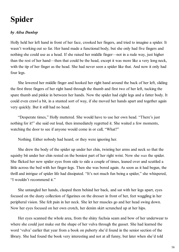## **Spider**

### *by Ailsa Dunlop*

Holly held her left hand in front of her face, crooked her fingers, and tried to imagine a spider. It wasn't working out so far. Her hand made a functional body, but she only had five fingers and nothing she could use as a head. If she raised her middle finger—not in a rude way, just higher than the rest of her hand—then that could be the head, except it was more like a very long neck, with the tip of her finger as the head. She had never seen a spider like that. And now it only had four legs.

She lowered her middle finger and hooked her right hand around the back of her left, sliding the first three fingers of her right hand through the thumb and first two of her left, tucking the spare thumb and pinkie in between her hands. Now the spider had eight legs and a fatter body. It could even crawl a bit, in a stunted sort of way, if she moved her hands apart and together again very quickly. But it still had no head.

"Desperate times," Holly muttered. She would have to use her own head. "There's just nothing for it!" she said out loud, then immediately regretted it. She waited a few moments, watching the door to see if anyone would come in or call, "What?"

Nothing. Either nobody had heard, or they were ignoring her.

She drew the body of the spider up under her chin, twisting her arms and neck so that the squishy bit under her chin rested on the boniest part of her right wrist. Now she *was* the spider. She flicked her new spider eyes from side to side a couple of times, leaned over and scuttled a little across the bed with her finger-legs. Then she was bored again. As soon as it had begun, the thrill and intrigue of spider life had dissipated. "It's not much fun being a spider," she whispered, "I wouldn't recommend it."

She untangled her hands, clasped them behind her back, and sat with her legs apart, eyes focused on the dusty collection of figurines on the dresser in front of her, feet waggling in her peripheral vision. She felt pain in her neck. She let her muscles go and her head swing down. Now her eyes focused on her own crotch, her denim skirt scrunched up at her hips.

Her eyes scanned the whole area, from the shiny fuchsia seam and bow of her underwear to where she could just make out the shape of her vulva through the gusset. She had learned the word 'vulva' earlier that year from a book on puberty she'd found in the senior section of the library. She had found the book very interesting and not at all funny, but later when she'd told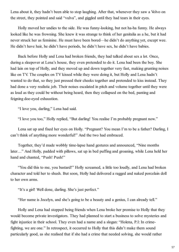Lena about it, they hadn't been able to stop laughing. After that, whenever they saw a Volvo on the street, they pointed and said "vulva", and giggled until they had tears in their eyes.

Holly moved her undies to the side. He was funny-looking, but not ha-ha funny. He always looked like he was frowning. She knew it was strange to think of her genitalia as a he, but it had never struck her as feminine. He must have been bored—he didn't do anything yet, except wee. He didn't have hair, he didn't have periods, he didn't have sex, he didn't have babies.

Back before Holly and Lena had broken friends, they had talked about sex a lot. Once, during a sleepover at Lena's house, they even pretended to do it. Lena had been the boy. She had lain on top of Holly, and they moved up and down together very fast, making grunting noises like on TV. The couples on TV kissed while they were doing it, but Holly and Lena hadn't wanted to do that, so they just pressed their cheeks together and pretended to kiss instead. They had done a very realistic job. Their noises escalated in pitch and volume together until they were as loud as they could be without being heard, then they collapsed on the bed, panting and feigning doe-eyed exhaustion.

"I love you, darling," Lena had said.

"I love you too," Holly replied, "But darling! You realise I'm probably pregnant now."

Lena sat up and fixed her eyes on Holly. "Pregnant? You mean I'm to be a father? Darling, I can't think of anything more wonderful!" And the two had embraced.

Together, they'd made wobbly time-lapse hand gestures and announced, "Nine months later…" And Holly, padded with pillows, sat up in bed puffing and groaning, while Lena held her hand and chanted, "Push! Push!"

"You did this to me, you bastard!" Holly screamed, a little too loudly, and Lena had broken character and told her to shush. But soon, Holly had delivered a ragged and naked porcelain doll to her own arms.

"It's a girl! Well done, darling. She's just perfect."

"Her name is Jocelyn, and she's going to be a beauty and a genius, I can already tell."

Holly and Lena had stopped being friends when Lena broke her promise to Holly that they would become private investigators. They had planned to start a business to solve mysteries and fight injustice in their school. They even had a name and a slogan: "Holena, P.I: In crimefighting, we are one." In retrospect, it occurred to Holly that this didn't make them sound particularly good, as she realised that if she had a crime that needed solving, she would rather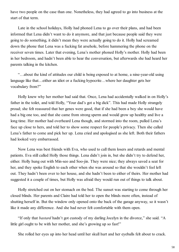have two people on the case than one. Nonetheless, they had agreed to go into business at the start of that term.

Late in the school holidays, Holly had phoned Lena to go over their plans, and had been informed that Lena didn't want to do it anymore, and that just because people said they were going to do something, it didn't mean they were actually going to do it. Holly had screamed down the phone that Lena was a fucking fat arsehole, before hammering the phone on the receiver seven times. Later that evening, Lena's mother phoned Holly's mother. Holly had been in her bedroom, and hadn't been able to hear the conversation, but afterwards she had heard her parents talking in the kitchen.

"…about the kind of attitudes our child is being exposed to at home, a nine-year-old using language like that…either an idiot or a fucking hypocrite…where her daughter gets her vocabulary from?"

Holly knew why her mother had said that. Once, Lena had accidentally walked in on Holly's father in the toilet, and told Holly, "Your dad's got a big dick". This had made Holly strangely proud; she felt reassured that her genes were good, that if she had been a boy she would have had a big one too, and that she came from strong sperm and would grow up healthy and live a long time. Her mother had overheard Lena though, and stormed into the room, pulled Lena's face up close to hers, and told her to show some respect for people's privacy. Then she called Lena's father to come and pick her up. Lena cried and apologised as she left. Both their fathers had looked very embarrassed.

Now Lena was best friends with Eva, who used to call them losers and retards and mental patients. Eva still called Holly those things. Lena didn't join in, but she didn't try to defend her, either. Holly hung out with Min-seo and Soo-jin. They were nice; they always saved a seat for her, and they spoke English to each other when she was around so that she wouldn't feel left out. They hadn't been over to her house, and she hadn't been to either of theirs. Her mother had suggested it a couple of times, but Holly was afraid they would run out of things to talk about.

Holly stretched out on her stomach on the bed. The sunset was starting to come through her closed blinds. Her parents and Claire had told her to open the blinds more often, instead of shutting herself in. But the window only opened onto the back of the garage anyway, so it wasn't like it made any difference. And she had never felt comfortable with them open.

"If only that *bastard* hadn't got custody of my darling Jocelyn in the divorce," she said. "A little girl ought to be with her mother, and she's growing up so fast!"

She rolled her eyes up into her head until her skull hurt and her eyeballs felt about to crack.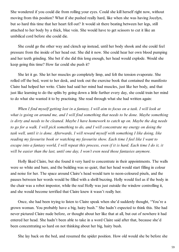She wondered if you could die from rolling your eyes. Could she kill herself right now, without moving from this position? What if she pushed really hard, like when she was having Jocelyn, but so hard this time that her heart fell out? It would sit there beating between her legs, still attached to her body by a thick, blue vein. She would have to get scissors to cut it like an umbilical cord before she could die.

She could go the other way and clench up instead, until her body shook and she could feel pressure from the inside of her head out. She did it now. She could hear her own blood pumping and her teeth grinding. She bet if she did this long enough, her head would explode. Would she keep going this time? How far could she push it?

She let it go. She let her muscles go completely limp, and felt the tension evaporate. She rolled off the bed, went to her desk, and took out the exercise book that contained the manifesto Claire had helped her write. Claire had said her mind had muscles, just like her body, and that just like learning to do the splits by going down a little further every day, she could train her mind to do what she wanted it to by practising. She read through what she had written again:

*When I find myself getting lost in a fantasy, I will aim to focus on a task. I will look at what is going on around me, and I will find something that needs to be done. Maybe something is dirty and needs to be cleaned. Maybe I have homework to catch up on. Maybe the dog needs to go for a walk. I will pick something to do, and I will concentrate my energy on doing the task well, until it is done. Afterwards, I will reward myself with something I like doing, like reading my favourite book or watching my favourite show. Each time I feel like I want to escape into a fantasy world, I will repeat this process, even if it is hard. Each time I do it, it will be easier than the last, until one day, I won't even need those fantasies anymore.*

Holly liked Claire, but she found it very hard to concentrate in their appointments. The walls were so white and bare, and the building was so quiet, that her head would start filling in colour and noise for her. The space around Claire's head would turn to neon-coloured pixels, and the pauses between her words would be filled with a shrill buzzing. Holly would feel as if the body in the chair was a robot impostor, while the real Holly was just outside the window controlling it, and she would become terrified that Claire knew it wasn't really her.

Once, she had been trying to listen to Claire speak when she'd suddenly thought, "You're a grown woman. You probably have a big, hairy bush." She hadn't expected to think this. She had never pictured Claire nude before, or thought about her like that at all, but out of nowhere it had entered her head. She hadn't been able to take in a word Claire said after that, because she'd been concentrating so hard on not thinking about her big, hairy bush.

She lay back on the bed, and resumed the spider position. How old would she be before she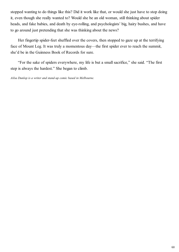stopped wanting to do things like this? Did it work like that, or would she just have to stop doing it, even though she really wanted to? Would she be an old woman, still thinking about spider heads, and fake babies, and death by eye-rolling, and psychologists' big, hairy bushes, and have to go around just pretending that she was thinking about the news?

Her fingertip spider-feet shuffled over the covers, then stopped to gaze up at the terrifying face of Mount Leg. It was truly a momentous day—the first spider ever to reach the summit, she'd be in the Guinness Book of Records for sure.

"For the sake of spiders everywhere, my life is but a small sacrifice," she said. "The first step is always the hardest." She began to climb.

*Ailsa Dunlop is a writer and stand-up comic based in Melbourne.*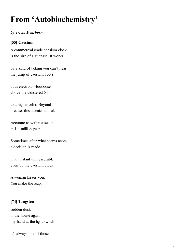# **From 'Autobiochemistry'**

#### *by Tricia Dearborn*

### **[55] Caesium**

A commercial grade caesium clock is the size of a suitcase. It works

by a kind of ticking you can't hear: the jump of caesium 133's

55th electron—footloose above the cloistered 54—

to a higher orbit. Beyond precise, this atomic sundial.

Accurate to within a second in 1.4 million years.

Sometimes after what seems aeons a decision is made

in an instant unmeasurable even by the caesium clock.

A woman kisses you. You make the leap.

### **[74] Tungsten**

sudden dusk in the house again my hand at the light switch

it's always one of those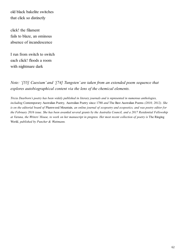old black bakelite switches that click so distinctly

click! the filament fails to blaze, an ominous absence of incandescence

I run from switch to switch each click! floods a room with nightmare dark

*Note: '[55] Caesium' and '[74] Tungsten' are taken from an extended poem sequence that explores autobiographical content via the lens of the chemical elements.*

*Tricia Dearborn's poetry has been widely published in literary journals and is represented in numerous anthologies, including* Contemporary Australian Poetry*,* Australian Poetry since 1788 *and* The Best Australian Poems *(2010, 2012). She is on the editorial board of* Plumwood Mountain*, an online journal of ecopoetry and ecopoetics, and was poetry editor for the February 2016 issue. She has been awarded several grants by the Australia Council, and a 2017 Residential Fellowship* at Varuna, the Writers' House, to work on her manuscript in progress. Her most recent collection of poetry is The Ringing World*, published by Puncher & Wattmann.*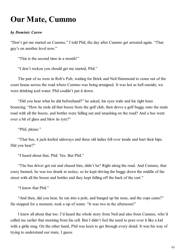### **Our Mate, Cummo**

#### *by Dominic Carew*

"Don't get me started on Cummo," I told Phil, the day after Cummo got arrested again. "That guy's on another level now."

"This is the second time in a month!"

"I don't reckon you should get me started, Phil."

The pair of us were in Rob's Pub, waiting for Brick and Neil Hammond to come out of the court house across the road where Cummo was being arraigned. It was hot as hell outside; we were drinking iced water. Phil couldn't put it down.

"Did you hear what he did beforehand?" he asked, his eyes wide and his right knee bouncing. "How he stole all that booze from the golf club, then drove a golf buggy onto the main road with all the booze, and bottles were falling out and smashing on the road? And a bus went over a bit of glass and blew its tyre?"

"Phil, please."

"That bus, it jack-knifed sideways and three old ladies fell over inside and hurt their hips. Did you hear?"

"I heard about that, Phil. Yes. But Phil."

"The bus driver got out and chased him, didn't he? Right along the road. And Cummo, that crazy bastard, he was too drunk to notice, so he kept driving the buggy down the middle of the street with all the booze and bottles and they kept falling off the back of the cart."

"I know that Phil."

"And then, did you hear, he ran into a pole, and banged up his nose, and the cops came?" He stopped for a moment, took a sip of water. "It was two in the afternoon!"

I knew all about that too. I'd heard the whole story from Neil and also from Cummo, who'd called me earlier that morning from his cell. But I didn't feel the need to pore over it like a kid with a girlie mag. On the other hand, Phil was keen to get through every detail. It was his way of trying to understand our mate, I guess.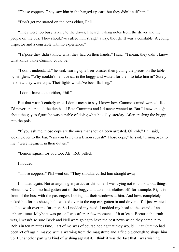"Those coppers. They saw him in the banged-up cart, but they didn't cuff him."

"Don't get me started on the cops either, Phil."

"They were too busy talking to the driver, I heard. Taking notes from the driver and the people on the bus. They should've cuffed him straight away, though. It was a constable. A young inspector and a constable with no experience."

"I s'pose they didn't know what they had on their hands," I said. "I mean, they didn't know what kinda bloke Cummo could be."

"I don't understand," he said, tearing up a beer coaster then putting the pieces on the table by his glass. "Why couldn't he have sat in the buggy and waited for them to take him in? Surely he knew they were cops. Their lights would've been flashing."

"I don't have a clue either, Phil."

But that wasn't entirely true. I don't mean to say I knew how Cummo's mind worked, like, I'd never understood the depths of Pete Cummins and I'd never wanted to. But I knew enough about the guy to figure he was capable of doing what he did yesterday. After crashing the buggy into the pole.

"If you ask me, those cops are the ones that shoulda been arrested. Oi Rob," Phil said, looking over to the bar, "can you bring us a lemon squash? Those cops," he said, turning back to me, "were negligent in their duties."

"Lemon squash for you too, Al?" Rob yelled.

I nodded.

"Those coppers," Phil went on. "They shoulda cuffed him straight away."

I nodded again. Not at anything in particular this time. I was trying not to think about things. About how Cummo had gotten out of the buggy and taken his clothes off, for example. Right in front of the bus, with the passengers looking out their windows at him. And how, completely naked but for his shoes, he'd walked over to the cop car, gotten in and driven off. I just wanted it all to wash over me for once. So I nodded my head. I nodded my head to the sound of an unheard tune. Maybe it was peace I was after. A few moments of it at least. Because the truth was, I wasn't so sure Brick and Neil were going to have the best news when they came in to Rob's in ten minutes time. Part of me was of course hoping that they would. That Cummo had been let off again, maybe with a warning from the magistrate and a fine big enough to shape him up. But another part was kind of wishing against it. I think it was the fact that I was wishing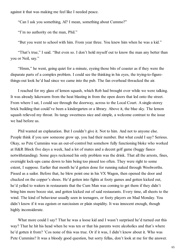against it that was making me feel like I needed peace.

"Can I ask you something, Al? I mean, something about Cummo?"

"I'm no authority on the man, Phil."

"But you went to school with him. From year three. You knew him when he was a kid."

"That's true," I said. "But even so. I don't hold myself out to know the man any better than you or Neil, say."

"Hmm," he went, going quiet for a minute, eyeing those bits of coaster as if they were the disparate parts of a complex problem. I could see the thinking in his eyes, the trying-to-figurethings-out look he'd had since we came into the pub. The fan overhead thwacked the air.

I reached for my glass of lemon squash, which Rob had brought over while we were talking. It was already lukewarm from the heat blasting in from the open doors that led onto the street. From where I sat, I could see through the doorway, across to the Local Court. A single-storey brick building that could've been a kindergarten or a library. Above it, the blue sky. The lemon squash relieved my throat. Its tangy sweetness nice and simple, a welcome contrast to the issue we had before us.

Phil wanted an explanation. But I couldn't give it. Not to him. And not to anyone else. People think if you saw someone grow up, you had their number. But what could I say? Serious. Okay, so Pete Cummins was an out-of-control but somehow fully functioning bloke who worked at H&R Block five days a week, had a lot of mates and a decent golf game (buggy fiasco notwithstanding). Some guys reckoned his only problem was the drink. That all the arrests, fines, overnight lock-ups came down to him being too pissed too often. They were right to some extent, I suppose. Earlier that month he'd gotten done for running naked through Woolworths. Pissed as a sailor. Before that, he blew point one in his VX Wagon, then opened the door and chucked on the copper's shoes. He'd gotten into fights at footy games and gotten kicked out, he'd yelled to waiters in restaurants that the Cum Man was coming to get them if they didn't bring him more booze stat, and gotten kicked out of said restaurants. Every time, all sheets to the wind. The kind of behaviour usually seen in teenagers, or footy players on Mad Monday. You didn't know if it was egoism or narcissism or plain stupidity. It was innocent enough, though highly inconsiderate.

What more could I say? That he was a loose kid and I wasn't surprised he'd turned out this way? That he hit his head when he was ten or that his parents were alcoholics and that's where he'd gotten it from? 'Cos none of this was true. Or if it was, I didn't know about it. Who was Pete Cummins? It was a bloody good question, but sorry fellas, don't look at me for the answer.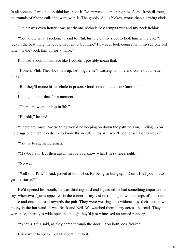In all honesty, I was fed up thinking about it. Every week, something new. Some fresh disaster, the rounds of phone calls that went with it. The gossip. All us blokes, worse than a sewing circle.

The air was even hotter now; nearly one o'clock. My armpits wet and my neck itching.

"You know what I reckon," I said to Phil, turning on my stool to look him in the eye. "I reckon the best thing that could happen to Cummo," I paused, took counsel with myself one last time, "is they lock him up for a while."

Phil had a look on his face like I couldn't possibly mean that.

"Honest, Phil. They lock him up, he'll figure he's wasting his time and come out a better bloke."

"But they'll mince his arsehole in prison. Good lookin' dude like Cummo."

I thought about that for a moment.

"There are worse things in life."

"Bullshit," he said.

"There are, mate. Worse thing would be keeping on down the path he's on. Ending up on the drugs one night, too drunk to know the needle in his arm won't be the last. For example."

"You're being melodramatic."

"Maybe I am. But then again, maybe you know what I'm saying's right."

"No way."

"Well shit, Phil," I said, pissed at both of us for being so hung up. "Didn't I tell you not to get me started?"

He'd opened his mouth, he was thinking hard and I guessed he had something important to say, when two figures appeared in the corner of my vision, running down the steps of the court house and onto the road towards the pub. They were wearing suits without ties, their hair blown messy in the hot wind. It was Brick and Neil. We watched them hurry across the road. They were pale, their eyes wide open, as though they'd just witnessed an armed robbery.

"What is it?" I said, as they came through the door. "You both look freaked."

Brick went to speak, but Neil beat him to it.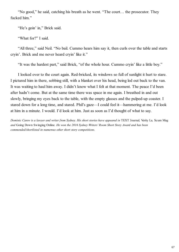"No good," he said, catching his breath as he went. "The court… the prosecutor. They fucked him."

"He's goin' in," Brick said.

"What for?" I said.

"All three," said Neil. "No bail. Cummo hears him say it, then curls over the table and starts cryin'. Brick and me never heard cryin' like it."

"It was the hardest part," said Brick, "of the whole hour. Cummo cryin' like a little boy."

I looked over to the court again. Red-bricked, its windows so full of sunlight it hurt to stare. I pictured him in there, sobbing still, with a blanket over his head, being led out back to the van. It was waiting to haul him away. I didn't know what I felt at that moment. The peace I'd been after hadn't come. But at the same time there was space in me again. I breathed in and out slowly, bringing my eyes back to the table, with the empty glasses and the pulped-up coaster. I stared down for a long time, and stared. Phil's gaze—I could feel it—hammering at me. I'd look at him in a minute. I would. I'd look at him. Just as soon as I'd thought of what to say.

*Dominic Carew is a lawyer and writer from Sydney. His short stories have appeared in* TEXT Journal*,* Verity La*,* Scum Mag *and* Going Down Swinging Online*. He won the 2016 Sydney Writers' Room Short Story Award and has been commended/shortlisted in numerous other short story competitions.*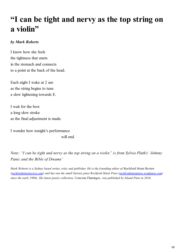## **"I can be tight and nervy as the top string on a violin"**

#### *by Mark Roberts*

I know how she feels the tightness that starts in the stomach and connects to a point at the back of the head.

Each night I wake at 2 am as the string begins to tune a slow tightening towards E.

I wait for the bow a long slow stroke as the final adjustment is made.

I wonder how tonight's performance will end.

*Note: "I can be tight and nervy as the top string on a violin" is from Sylvia Plath's 'Johnny Panic and the Bible of Dreams'*

*Mark Roberts is a Sydney based writer, critic and publisher. He is the founding editor of Rochford Street Review ([rochfordstreetreview.com](https://rochfordstreetreview.com/)) and has run the small literary press Rochford Street Press [\(rochfordstreetpress.wordpress.com\)](https://rochfordstreetpress.wordpress.com/) since the early 1980s. His latest poetry collection,* Concrete Flamingos*, was published by Island Press in 2016.*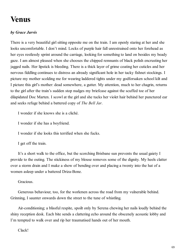## **Venus**

### *by Grace Jarvis*

There is a very beautiful girl sitting opposite me on the train. I am openly staring at her and she looks uncomfortable. I don't mind. Locks of purple hair fall unrestrained onto her forehead as her eyes restlessly sprint around the carriage, looking for something to land on besides my beady gaze. I am almost pleased when she chooses the chipped remnants of black polish encrusting her jagged nails. Her lipstick is bleeding. There is a thick layer of grime coating her cuticles and her nervous fiddling continues to distress an already significant hole in her tacky fishnet stockings. I picture my mother scolding me for wearing laddered tights under my godforsaken school kilt and I picture this girl's mother: dead somewhere, a gutter. My attention, much to her chagrin, returns to the girl after the train's sudden stop nudges my briefcase against the scuffed toe of her dilapidated Doc Marten. I scowl at the girl and she tucks her violet hair behind her punctured ear and seeks refuge behind a battered copy of *The Bell Jar*.

I wonder if she knows she is a cliché.

I wonder if she has a boyfriend.

I wonder if she looks this terrified when she fucks.

I get off the train.

It's a short walk to the office, but the scorching Brisbane sun prevents the usual gaiety I provide to the outing. The stickiness of my blouse removes some of the dignity. My heels clatter over a storm drain and I make a show of bending over and placing a twenty into the hat of a women asleep under a battered Driza-Bone.

#### Gracious.

Generous behaviour, too, for the workmen across the road from my vulnerable behind. Grinning, I saunter onwards down the street to the tune of whistling.

Air-conditioning; a blissful respite, spoilt only by Serena chewing her nails loudly behind the shiny reception desk. Each bite sends a clattering echo around the obscenely acoustic lobby and I'm tempted to walk over and rip her traumatised hands out of her mouth.

Clack!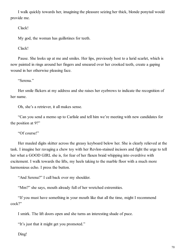I walk quickly towards her, imagining the pleasure seizing her thick, blonde ponytail would provide me.

Clack!

My god, the woman has guillotines for teeth.

Clack!

Pause. She looks up at me and smiles. Her lips, previously host to a lurid scarlet, which is now painted in rings around her fingers and smeared over her crooked teeth, create a gaping wound in her otherwise pleasing face.

"Serena."

Her smile flickers at my address and she raises her eyebrows to indicate the recognition of her name.

Oh, she's a retriever, it all makes sense.

"Can you send a memo up to Carlisle and tell him we're meeting with new candidates for the position at 9?"

"Of course!"

Her mauled digits skitter across the greasy keyboard below her. She is clearly relieved at the task. I imagine her ravaging a chew toy with her Revlon-stained incisors and fight the urge to tell her what a GOOD GIRL she is, for fear of her flaxen braid whipping into overdrive with excitement. I walk towards the lifts, my heels taking to the marble floor with a much more harmonious echo. I press the button.

"And Serena?" I call back over my shoulder.

"Mm?" she says, mouth already full of her wretched extremities.

"If you must have something in your mouth like that all the time, might I recommend cock?"

I smirk. The lift doors open and she turns an interesting shade of puce.

"It's just that it might get you promoted."

Ding!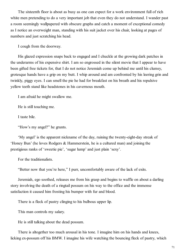The sixteenth floor is about as busy as one can expect for a work environment full of rich white men pretending to do a very important job that even they do not understand. I wander past a room seemingly wallpapered with obscure graphs and catch a moment of exceptional comedy as I notice an overweight man, standing with his suit jacket over his chair, looking at pages of numbers and just scratching his head.

I cough from the doorway.

His glazed expression snaps back to engaged and I chuckle at the growing dark patches in the underarms of his expensive shirt. I am so engrossed in the silent movie that I appear to have been gifted free tickets for, that I do not notice Jeremiah come up behind me until his clumsy, grotesque hands have a grip on my butt. I whip around and am confronted by his leering grin and twinkly, piggy eyes. I can smell the pie he had for breakfast on his breath and his repulsive yellow teeth stand like headstones in his cavernous mouth.

I am afraid he might swallow me.

He is still touching me.

I taste bile.

"How's my angel?" he grunts.

'My angel' is the apparent nickname of the day, ruining the twenty-eight-day streak of 'Honey Bun' (he loves Rodgers & Hammerstein, he is a cultured man) and joining the prestigious ranks of 'sweetie pie', 'sugar lump' and just plain 'sexy'.

For the traditionalists.

"Better now that you're here," I purr, uncomfortably aware of the lack of exits.

Jeremiah, ego soothed, releases me from his grasp and begins to waffle on about a darling story involving the death of a ringtail possum on his way to the office and the immense satisfaction it caused him frosting his bumper with fur and blood.

There is a fleck of pastry clinging to his bulbous upper lip.

This man controls my salary.

He is still talking about the dead possum.

There is altogether too much arousal in his tone. I imagine him on his hands and knees, licking ex-possum off his BMW. I imagine his wife watching the bouncing fleck of pastry, which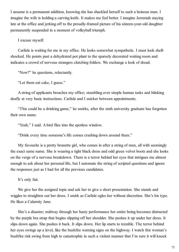I assume is a permanent addition, knowing she has shackled herself to such a heinous man. I imagine the wife is holding a carving knife. It makes me feel better. I imagine Jeremiah staying late at the office and jerking off to the proudly-framed picture of his sixteen-year-old daughter permanently suspended in a moment of volleyball triumph.

I excuse myself.

Carlisle is waiting for me in my office. He looks somewhat sympathetic. I must look shellshocked. He points past a dehydrated pot plant to the sparsely decorated waiting room and indicates a crowd of nervous strangers clutching folders. We exchange a look of dread.

"Now?" he questions, reluctantly.

"Let them eat cake, I guess."

A string of applicants breaches my office; stumbling over simple human tasks and blinking deafly at very basic instructions. Carlisle and I snicker between appointments.

"This could be a drinking game," he smirks, after the sixth university graduate has forgotten their own name.

"Yeah," I said. A bird flies into the spotless window.

"Drink every time someone's life comes crashing down around them."

My favourite is a pretty brunette girl, who comes in after a string of men, all with seemingly the exact same name. She is wearing a tight black dress and odd green velvet boots and she looks on the verge of a nervous breakdown. There is a terror behind her eyes that intrigues me almost enough to ask about her personal life, but I automate the string of scripted questions and ignore the responses just as I had for all the previous candidates.

It's only fair.

We give her the assigned topic and ask her to give a short presentation. She stands and wiggles to straighten out her dress. I smirk as Carlisle ogles her without discretion. She's his type. He likes a Calamity Jane.

She's a disaster; midway through her hasty performance her entire being becomes distracted by the purple bra strap that begins slipping off her shoulder. She pushes it up under her dress. It slips down again. She pushes it back. It slips down. Her lip starts to tremble. The terror behind her eyes swings up a level, like the bushfire warning signs on the highway. I watch this woman's bushfire risk swing from high to catastrophic in such a violent manner that I'm sure it will knock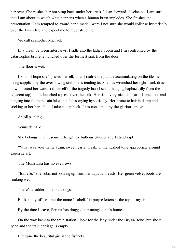her over. She pushes her bra strap back under her dress. I lean forward, fascinated. I am sure that I am about to watch what happens when a human brain implodes. She finishes the presentation. I am tempted to award her a medal, were I not sure she would collapse hysterically over the finish line and expect me to reconstruct her.

We call in another Michael.

In a break between interviews, I sidle into the ladies' room and I'm confronted by the catastrophic brunette hunched over the furthest sink from the door.

The floor is wet.

I kind of hope she's pissed herself, until I realise the puddle accumulating on the tiles is being supplied by the overflowing sink she is tending to. She has wrenched her tight black dress down around her waist, rid herself of the tragedy bra (I see it, hanging haphazardly from the adjacent tap) and is hunched topless over the sink. Her tits—very nice tits—are flopped out and hanging into the porcelain lake and she is crying hysterically. Her brunette hair is damp and sticking to her bare face. I take a step back. I am consumed by the glorious image.

An oil painting.

Venus de Milo.

She belongs in a museum. I forget my bulbous bladder and I stand rapt.

"What was your name again, sweetheart?" I ask, in the hushed tone appropriate around exquisite art.

The Mona Lisa has no eyebrows.

"Isabelle," she sobs, not looking up from her aquatic breasts. Her green velvet boots are soaking wet.

There's a ladder in her stockings.

Back in my office I put the name 'Isabelle' in purple letters at the top of my list.

By the time I leave, Serena has dragged her mangled nails home.

On the way back to the train station I look for the lady under the Dryza-Bone, but she is gone and the train carriage is empty.

I imagine the beautiful girl in the fishnets.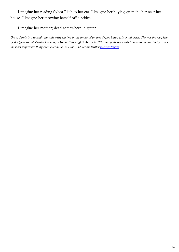I imagine her reading Sylvia Plath to her cat. I imagine her buying gin in the bar near her house. I imagine her throwing herself off a bridge.

I imagine her mother; dead somewhere, a gutter.

*Grace Jarvis is a second year university student in the throes of an arts degree based existential crisis. She was the recipient of the Queensland Theatre Company's Young Playwright's Award in 2015 and feels she needs to mention it constantly as it's the most impressive thing she's ever done. You can find her on Twitter <i>[@grace4jarvis.](https://twitter.com/grace4jarvis)*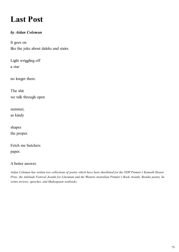# **Last Post**

## *by Aidan Coleman*

It goes on like the joke about daleks and stairs.

Light wriggling off a star

no longer there.

The shit we talk through open

summer, as kindy

shapes the proper.

Fetch me butchers paper.

#### A better answer.

*Aidan Coleman has written two collections of poetry which have been shortlisted for the NSW Premier's Kenneth Slessor Prize, the Adelaide Festival Awards for Literature and the Western Australian Premier's Book Awards. Besides poetry, he writes reviews, speeches, and Shakespeare textbooks.*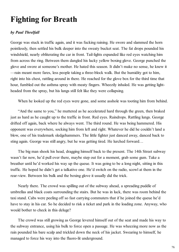## **Fighting for Breath**

## *by Paul Threlfall*

George was stuck in traffic again, and it was fucking raining. He swore and slammed the horn pointlessly, then settled his bulk deeper into the sweaty bucket seat. The fat drops pounded his windshield, nearly obliterating the car in front. Tail-lights expanded like red eyes watching him from across the ring. Between them dangled his lucky yellow boxing glove. George punched the glove and swore at someone's mother. He hated this season. It didn't make no sense, he knew it —rain meant more fares, less people taking a three-block walk. But the humidity got to him, right into his chest, rattling around in there. He reached for the glove box for the third time that hour, fumbled out the asthma spray with meaty fingers. Wheezily inhaled. He was getting lightheaded from the spray, but his lungs still felt like they were collapsing.

When he looked up the red eyes were gone, and some asshole was tooting him from behind.

"And the same to you," he muttered as he accelerated hard through the green, then braked just as hard as he caught up to the traffic in front. Red eyes. Raindrops. Rattling lungs. George drifted off again, back where he always went. The third round. He was being hammered. His opponent was everywhere, socking him from left and right. Whatever he did he couldn't land a blow, one of his trademark sledgehammers. The little fighter just danced away, danced back to sting again. George was still angry, but he was getting tired. He lurched forward…

The big man shook his head, dragging himself back to the present. The 14th Street subway wasn't far now, he'd pull over there, maybe step out for a moment, grab some gum. Take a breather until he'd worked his way up the queue. It was going to be a long night, sitting in this traffic. He hoped he didn't get a talkative one. He'd switch on the radio, scowl at them in the rear-view. Between his bulk and the boxing glove it usually did the trick.

Nearly there. The crowd was spilling out of the subway ahead, a spreading puddle of umbrellas and black coats surrounding the stairs. But he was in luck, there was room behind the taxi stand. Cabs were peeling off so fast carrying commuters that if he joined the queue he'd have to stay in his car. So he decided to risk a ticket and park in the loading zone. Anyway, who would bother to check in this deluge?

The crowd was still growing as George levered himself out of the seat and made his way to the subway entrance, using his bulk to force open a passage. He was wheezing more now as the rain pounded his bare scalp and trickled down the neck of his jacket. Swearing to himself, he managed to force his way into the fluoro-lit underground.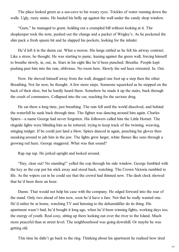The place looked green as a sea-cave to his weary eyes. Trickles of water running down the walls. Ugly, rusty stains. He hauled his belly up against the wall under the candy shop window.

"Gum," he managed to grunt, holding out a crumpled bill without looking at it. The shopkeeper took the note, pushed out the change and a packet of Wrigley's. As he pocketed the slim pack a fresh spasm hit and he slapped his pockets, looking for the inhaler.

He'd left it in the damn car. What a moron. His lungs rattled as he felt his airway contract. Like a straw, he thought. He was starting to panic, leaning against the green wall, forcing himself to breathe slowly, in, out, in. Stars in his sight like he'd been punched. Breathe. People kept pushing past him into the rain, oblivious. No room here. Slowly the red haze retreated. In. Out.

Now. He shoved himself away from the wall, dragged one foot up a step then the other. Breathing. Not far now, he thought. A few more steps. Someone squawked as he stepped on the back of their shoe, but he hardly heard them. Somehow he made it up the stairs, back through the crush of commuters. Collapsed into the car, reaching for the saviour drug.

He sat there a long time, just breathing. The rain fell until the world dissolved, and behind the waterfall he sunk back through time. The fighter was dancing around him again. Charles Spiers—a name George had never forgotten. His followers called him the Little Hornet. The ringside lights were blinding him as he tottered, trying to keep track of the twisting, weaving, stinging midget. If he could just land a blow. Spiers danced in again, punching his gloves then sneaking around to jab him in the jaw. The lights grew larger, white flames like suns through a growing red haze. George staggered. What was that sound?

Rap rap rap. He jerked upright and looked around.

"Hey, clear out! No standing!" yelled the cop through his side window. George fumbled with the key as the cop put his stick away and stood back, watching. The Crown Victoria rumbled to life. As the wipers cut in he could see that the crowd had thinned now. The dash clock showed that he'd been there an hour.

Damn. That would not help his case with the company. He edged forward into the rear of the stand. Only two ahead of him now, soon he'd have a fare. Not that he really wanted one. He'd rather be at home, watching TV and listening to the dehumidifier do its thing. His apartment wasn't bad; he'd bought it long ago, when he'd been winning fights, working days too, the energy of youth. Real cosy, sitting up there looking out over the river to the Island. Much more peaceful than at street level. The neighbourhood was going downhill. Or maybe he was getting old.

This time he didn't go back to the ring. Thinking about his apartment he realised how tired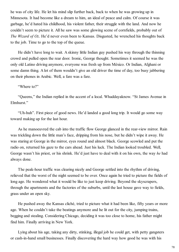he was of city life. He let his mind slip further back, back to when he was growing up in Minnesota. It had become like a dream to him, an ideal of peace and calm. Of course it was garbage, he'd hated his childhood, his violent father, their struggle with the land. And now he couldn't seem to picture it. All he saw was some glowing scene of cornfields, probably out of *The Wizard of Oz*. He'd never even been to Kansas. Disgusted, he wrenched his thoughts back to the job. Time to go to the top of the queue.

He didn't have long to wait. A skinny little Indian guy pushed his way through the thinning crowd and pulled open the rear door. Ironic, George thought. Sometimes it seemed he was the only old Latino driving anymore, everyone was fresh up from México. Or Indian, Afghani or some damn thing. A lot of them wouldn't give an old driver the time of day, too busy jabbering on their phones in Arabic. Well, a fare was a fare.

"Where to?"

"Queens," the Indian replied in the accent of a local. Whaddayaknow. "St James Avenue in Elmhurst."

"Uh-huh". First piece of good news. He'd landed a good long trip. It would go some way toward making up for the last hour.

As he manoeuvred the cab into the traffic flow George glanced in the rear-view mirror. Rain was trickling down the little man's face, dripping from his nose, but he didn't wipe it away. He was staring at George in the mirror, eyes round and almost black. George scowled and put the radio on, returned his gaze to the cars ahead. Just his luck. The Indian looked troubled. Well, George wasn't his priest, or his shrink. He'd just have to deal with it on his own, the way *he* had always done.

The peak-hour traffic was clearing nicely and George settled into the rhythm of driving, relieved that the worst of the night seemed to be over. Once again he tried to picture the fields of long ago. He wondered what it would be like to just keep driving. Beyond the skyscrapers, through the apartments and the factories of the suburbs, until the last house gave way to fields, grass under an open sky.

He pushed away the Kansas cliché, tried to picture what it had been like, fifty years or more ago. When he couldn't take the beatings anymore and he lit out for the city, jumping trains, begging and stealing. Considering Chicago, deciding it was too close to home, his father might find him. Finally arriving in New York.

Lying about his age, taking any dirty, stinking, illegal job he could get, with petty gangsters or cash-in-hand small businesses. Finally discovering the hard way how good he was with his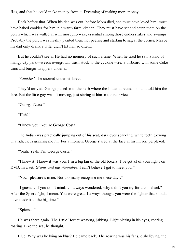fists, and that he could make money from it. Dreaming of making more money…

Back before that. When his dad was out, before Mom died, she must have loved him, must have baked cookies for him in a warm farm kitchen. They must have sat and eaten them on the porch which was walled in with mosquito wire, essential among those endless lakes and swamps. Probably the porch was freshly painted then, not peeling and starting to sag at the corner. Maybe his dad only drank a little, didn't hit him so often...

But he couldn't see it. He had no memory of such a time. When he tried he saw a kind of mangy city park—weeds overgrown, trash stuck to the cyclone wire, a billboard with some Coke cans and burger wrappers under it.

*"Cookies!"* he snorted under his breath.

They'd arrived. George pulled in to the kerb where the Indian directed him and told him the fare. But the little guy wasn't moving, just staring at him in the rear-view.

"George *Costa!*"

"Huh?"

"I know you! You're George Costa!"

The Indian was practically jumping out of his seat, dark eyes sparkling, white teeth glowing in a ridiculous grinning mouth. For a moment George stared at the face in his mirror, perplexed.

"Yeah. Yeah, I'm George Costa."

"I knew it! I knew it was you. I'm a big fan of the old boxers. I've got all of your fights on DVD. In a set, *Giants and the Wannabes*. I can't believe I got to meet you."

"No… pleasure's mine. Not too many recognise me these days."

"I guess… If you don't mind… I always wondered, why didn't you try for a comeback? After the Spiers fight, I mean. You were great. I always thought you were the fighter that should have made it to the big time."

"Spiers…"

He was there again. The Little Hornet weaving, jabbing. Light blazing in his eyes, roaring, roaring. Like the sea, he thought.

Blue. Why was he lying on blue? He came back. The roaring was his fans, disbelieving, the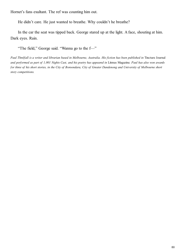Hornet's fans exultant. The ref was counting him out.

He didn't care. He just wanted to breathe. Why couldn't he breathe?

In the car the seat was tipped back. George stared up at the light. A face, shouting at him. Dark eyes. Rain.

"The field," George said. "Wanna go to the f—"

Paul Threlfall is a writer and librarian based in Melbourne, Australia. His fiction has been published in Tincture Journal *and performed as part of 1,001 Nights Cast, and his poetry has appeared in* Litmus Magazine*. Paul has also won awards for three of his short stories, in the City of Boroondara, City of Greater Dandenong and University of Melbourne short story competitions.*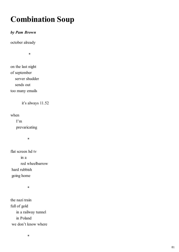# **Combination Soup**

## *by Pam Brown*

october already

\*

on the last night of september server shudder sends out too many emails

it's always 11.52

when

 I'm prevaricating

\*

flat screen hd tv in a red wheelbarrow hard rubbish going home

\*

the nazi train full of gold in a railway tunnel in Poland we don't know where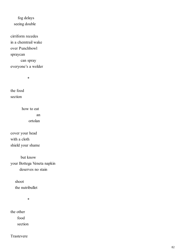## fog delays seeing double

cirriform recedes in a chemtrail wake over Punchbowl spraycan can spray everyone's a welder

\*

the food section

> how to eat an ortolan

cover your head with a cloth shield your shame

 but know your Bottega Veneta napkin deserves no stain

> shoot the nutribullet

> > \*

the other food section

Trastevere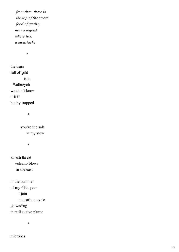*from them there is the top of the street food of quality now a legend where lick a moustache*

\*

the train full of gold is in Wałbrzych we don't know if it is booby trapped

\*

 you're the salt in my stew

\*

an ash threat volcano blows in the east

in the summer of my 67th year I join the carbon cycle go wading in radioactive plume

\*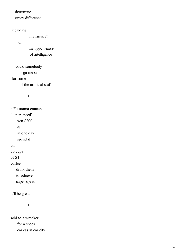### determine

every difference

## including

intelligence?

or

 the *appearance* of intelligence

could somebody

sign me on

#### for some

of the artificial stuff

\*

a Futurama concept— 'super speed' win \$200 & in one day spend it on 50 cups of \$4 coffee drink them

to achieve

super speed

it'll be great

\*

sold to a wrecker for a speck carless in car city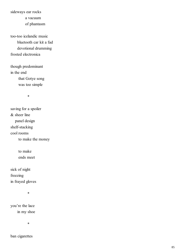sideways ear rocks

a vacuum

of phantasm

too-too icelandic music bluetooth car kit a fad devotional drumming frosted electronica

though predominant in the end that Gotye song was too simple

\*

saving for a spoiler & sheer line panel design shelf-stacking cool rooms to make the money

> to make ends meet

sick of night freezing in frayed gloves

\*

you're the lace in my shoe

\*

ban cigarettes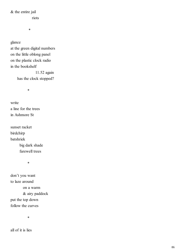& the entire jail

riots

\*

glance

at the green digital numbers on the little oblong panel on the plastic clock radio in the bookshelf 11.52 again has the clock stopped?

\*

write a line for the trees in Ashmore St

sunset racket birdchirp batshriek big dark shade farewell trees

\*

don't you want to laze around on a warm & airy paddock put the top down follow the curves

\*

all of it is lies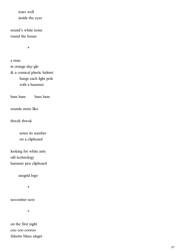tears well inside the eyes

sound's white noise round the house

\*

a man in orange day-glo & a comical plastic helmet bangs each light pole with a hammer

bam bam bam bam

sounds more like

thwok thwok

 notes its number on a clipboard

looking for white ants old technology hammer pen clipboard

ausgrid logo

\*

november now

\*

on the first night coo coo cooroo falsetto blues singer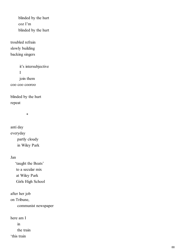blinded by the hurt coz I'm blinded by the hurt

troubled refrain slowly building backing singers

 it's intersubjective I join them coo coo cooroo

blinded by the hurt repeat

\*

anti day everyday partly cloudy in Wiley Park

#### Jan

 'taught the Beats' to a secular mix at Wiley Park Girls High School

after her job on Tribune, communist newspaper

here am I in the train 'this train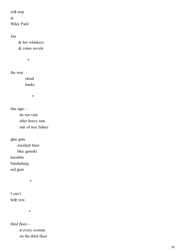will stop

at

Wiley Park'

Jan

 & her whiskeys & crime novels

\*

the way

 cloud banks

\*

this sign do not visit after heavy rain risk of tree failure

glue gum

 eucalypt haze blue gumski karrabin bundjalung

red gum

\*

I can't help you

\*

third floor is every woman on the third floor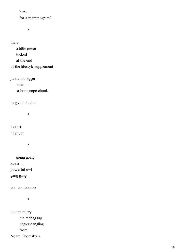here

for a mammogram?

\*

there

 a little poem tucked at the end of the lifestyle supplement

just a bit bigger than a horoscope chunk

to give it its due

\*

I can't help you

\*

 going going koala powerful owl gang gang

coo coo cooroo

\*

documentary the teabag tag jiggler dangling from Noam Chomsky's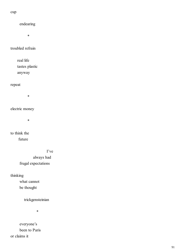#### cup

 endearing \* troubled refrain real life tastes plastic anyway repeat \*

## electric money

\*

to think the future

> I've always had frugal expectations

thinking what cannot

be thought

trickgensteinian

\*

 everyone's been to Paris or claims it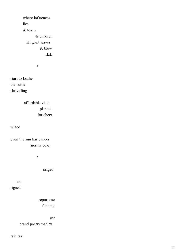where influences live & teach & children lift giant leaves & blow fluff

\*

start to loathe the sun's shrivelling

> affordable viola planted for cheer

wilted

even the sun has cancer (norma cole)

\*

singed

 no signed

> repurpose funding

> > get

brand poetry t-shirts

rain taxi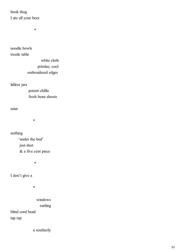book thug I ate all your bees

\*

noodle bowls

trestle table

 white cloth pristine, cool embroidered edges

lidless jars

 potent chillis fresh bean shoots

mint

\*

nothing 'under the bed' just dust & a five cent piece

\*

I don't give a

\*

 windows rattling blind cord bead tap tap

a southerly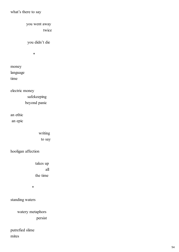## what's there to say

 you went away twice

you didn't die

\*

money language time

electric money safekeeping beyond panic

an ethic an epic

> writing to say

hooligan affection

 takes up all the time

\*

standing waters

 watery metaphors persist

putrefied slime mites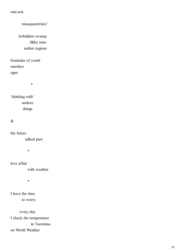#### mal aria

misaquaterrists!

 forbidden swamp filthy mire nether regions

fountains of youth marshes ague

\*

'thinking with' undoes things

&

the future

talked past

\*

love affair

with weather

\*

I have the time to worry

 every day I check the temperature in Taormina on World Weather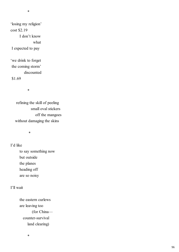\*

'losing my religion' cost \$2.19 I don't know what I expected to pay

'we drink to forget the coming storm' discounted \$1.69

\*

 refining the skill of peeling small oval stickers off the mangoes without damaging the skins

\*

I'd like

 to say something now but outside the planes heading off are so noisy

#### I'll wait

 the eastern curlews are leaving too (for China counter-survival land clearing)

\*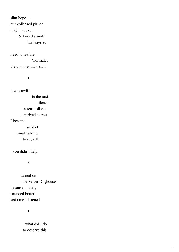slim hope our collapsed planet might recover & I need a myth that says so

need to restore 'normalcy' the commentator said

\*

it was awful in the taxi silence a tense silence contrived as rest I became an idiot small talking to myself

you didn't help

\*

 turned on The Velvet Doghouse because nothing sounded better last time I listened

\*

 what did I do to deserve this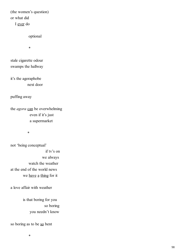(the women's question) or what did I ever do

optional

\*

stale cigarette odour swamps the hallway

it's the agoraphobe next door

puffing away

the *agora* can be overwhelming even if it's just a supermarket

\*

not 'being conceptual' if tv's on we always watch the weather at the end of the world news we have a thing for it

a love affair with weather

 is that boring for you so boring you needn't know

so boring as to be so bent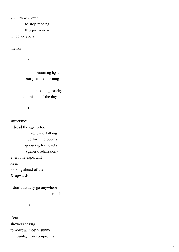you are welcome

to stop reading

this poem now

whoever you are

thanks

\*

 becoming light early in the morning

 becoming patchy in the middle of the day

\*

sometimes I dread the *agora* too like, panel talking performing poems queueing for tickets (general admission) everyone expectant keen looking ahead of them & upwards

I don't actually go anywhere much

\*

clear showers easing tomorrow, mostly sunny sunlight on compromise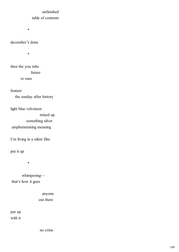## unfinished table of contents

\*

### december's done

\*

then the you tube future re runs

feature the sunday after history

light blue velveteen mixed up something silver amphetamining meaning

I'm living in a silent film

put it up

\*

 whimpering that's how it goes

> anyone out there

put up with it

no crisis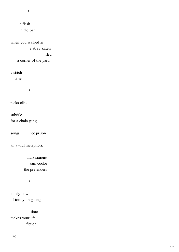\*

 a flash in the pan

when you walked in a stray kitten fled a corner of the yard

a stitch in time

\*

picks clink

subtitle for a chain gang

songs not prison

an awful metaphoric

 nina simone sam cooke the pretenders

\*

lonely bowl of tom yum goong

 time makes your life fiction

like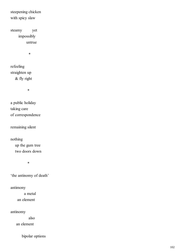steepening chicken with spicy slaw

steamy yet impossibly untrue

\*

refeeling straighten up & fly right

\*

a public holiday taking care of correspondence

remaining silent

nothing up the gum tree two doors down

\*

'the antinomy of death'

antimony

 a metal an element

antinomy

also

an element

bipolar options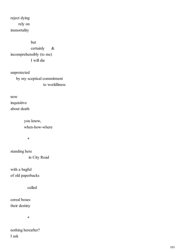reject dying rely on immortality

but

 certainly & incomprehensibly (to me) I will die

unprotected by my sceptical commitment to worldliness

now inquisitive about death

> you know, when-how-where

 $*$ 

standing here in City Road

with a bagful of old paperbacks

culled

cereal boxes their destiny

 $*$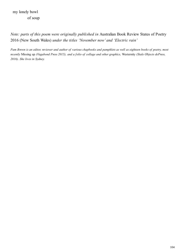my lonely bowl of soup

*Note: parts of this poem were originally published in* Australian Book Review States of Poetry 2016 (New South Wales) *under the titles 'November now' and 'Electric rain'*

*Pam Brown is an editor, reviewer and author of various chapbooks and pamphlets as well as eighteen books of poetry, most recently* Missing up *(Vagabond Press 2015), and a folio of collage and other graphics,* Westernity *(Stale Objects dePress, 2016). She lives in Sydney.*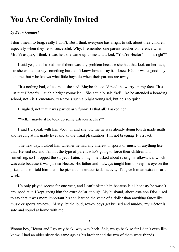# **You Are Cordially Invited**

#### *by Sean Gandert*

I don't mean to brag, really I don't. But I think everyone has a right to talk about their children, especially when they're so successful. Why, I remember one parent-teacher conference when Mrs Velásquez, I think it was her, she came up to me and asked, "You're Héctor's mom, right?"

I said yes, and I asked her if there was any problem because she had that look on her face, like she wanted to say something but didn't know how to say it. I knew Héctor was a good boy at home, but who knows what little boys do when their parents are away.

"It's nothing bad, of course," she said. Maybe she could read the worry on my face. "It's just that Héctor's… such a bright young lad." She actually said 'lad', like he attended a boarding school, not Zia Elementary. "Héctor's such a bright young lad, but he's so quiet."

I laughed, not that it was particularly funny. Is that all? I asked her.

"Well… maybe if he took up some extracurriculars?"

I said I'd speak with him about it, and she told me he was already doing fourth grade math and reading at his grade level and all the usual pleasantries. I'm not bragging. It's a fact.

The next day, I asked him whether he had any interest in sports or music or anything like that. He said no, and I'm not the type of parent who's going to force their children into something, so I dropped the subject. Later, though, he asked about raising his allowance, which was cute because it was just so Héctor. His father and I always taught him to keep his eye on the prize, and so I told him that if he picked an extracurricular activity, I'd give him an extra dollar a week.

He only played soccer for one year, and I can't blame him because in all honesty he wasn't any good at it. I kept giving him the extra dollar, though. My husband, ahora está con Dios, used to say that it was more important his son learned the value of a dollar than anything fancy like music or sports anyhow. I'd say, let the loud, rowdy boys get bruised and muddy, my Héctor is safe and sound at home with me.

§

Woooo boy, Héctor and I go way back, way way back. Shit, we go back so far I don't even like know. I had an older sister the same age as his brother and the two of them were friends.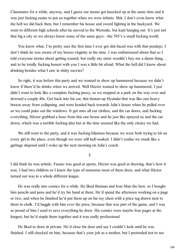Classmates for a while, anyway, and I guess our moms got knocked up at the same time and it was just fucking easier to put us together when we were infants. Shit, I don't even know what the hell we did back then, but I remember his house and sword fighting in the backyard. We went to different high schools after he moved to the Westside, but kept hanging out. It's just not that big a city so we always knew some of the same guys—the 505's a small fucking world.

You know what, I'm pretty sure the first time I ever got shit-faced was with that pendejo. I don't think he was aware of my booze-virginity at the time. I was embarrassed about that so I told everyone stories about getting wasted, but really my sister wouldn't buy me a damn thing… and to be totally fucking honest with you I was a little bit afraid. What the hell did I know about drinking besides what I saw in shitty movies?

So right, it was before this party and we wanted to show up hammered because we didn't know if there'd be drinks when we arrived. Well Héctor wanted to show up hammered, I just didn't want to look like a complete fucking pussy, so we stopped at a park on the way over and downed a couple 40s. Got back into his car, this beaten-up Hyundai that was like one heavy breeze away from collapsing, and were headed back towards Julia's house when he pulled over so we could puke out the windows. It got onto all our clothes, and the car doors, and fucking everything. Héctor grabbed a hose from this one house and he just like sprayed us and the car down, which was a terrible fucking idea but at the time seemed like the only choice we had.

We still went to the party, and it was fucking hilarious because we were both trying to hit on every girl in the place, even though we were still half-soaked. I didn't realise we stunk like a garbage disposal until I woke up the next morning on Julia's couch.

§

I did think he was artistic. Fausto was good at sports, Héctor was good at drawing, that's how it was. I had two children so I knew the type of nonsense most of them drew, and what Héctor turned out was in a whole different league.

He was really into comics for a while. He liked Batman and Iron Man the best, so I bought him pencils and pens and he'd try his hand at them. He'd spend the afternoon working on a page or two, and when he finished he'd put them up on his toy chest with a price tag drawn next to them in chalk. I'd haggle with him over the price, because that was part of the game, and I was so proud of him I used to save everything he drew. His comics were maybe four pages at the longest, but he'd staple them together and it was really professional.

He liked to draw in private. He'd close his door and say I couldn't look until he was finished. I still checked on him, because that's your job as a mother, but I pretended not to see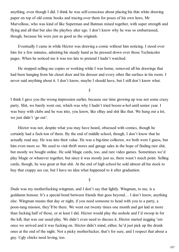anything, even though I did. I think he was self-conscious about placing his thin white drawing paper on top of old comic books and tracing over them for poses of his own hero, Mr Marvellous, who was kind of like Superman and Batman mixed together, with super strength and flying and all that but also the playboy alter ego. I don't know why he was so embarrassed, though, because his were just as good as the originals.

Eventually I came in while Héctor was drawing a comic without him noticing. I stood over him for a few minutes, admiring his steady hand as he pressed down over those Technicolor pages. When he noticed me it was too late to pretend I hadn't watched.

He stopped selling me copies or working while I was home, removed all his drawings that had been hanging from his closet door and his dresser and every other flat surface in his room. I never said anything about it. I don't know, maybe I should have, but I still don't know what.

§

I think I gave you the wrong impression earlier, because our time growing up was not some crazy party. Shit, we barely went out, which was why I hadn't tried booze-a-hol until senior year. I was busy with clubs and he was into, you know, like eBay and shit like that. We hung out a lot, we just didn't 'go out'.

Héctor was not, despite what you may have heard, obsessed with comics, though he certainly had a fuck-ton of them. By the end of middle school, though, I don't know that he actually read any. He was into their value. He was a big-time collector, we both were I guess, but him even more so. We used to visit thrift stores and garage sales in the hope of finding rare shit, but mostly we bought online. He sold Magic cards, too, and rare video games. Sometimes we'd play Magic or whatever together, but since it was mostly just us, there wasn't much point. Selling cards, though, he was great at that shit. At the end of high school he sold almost all his stock to buy that crappy ass car, but I have no idea what happened to it after graduation.

§

Dude was my motherfucking wingman, and I don't say that lightly. Wingman, to me, is a goddamn honour. It's a special bond between friends that goes beyond… I don't know, anything else. Wingman means that day or night, if you need someone to head with you to a party, a poon-tang mission, they'll be there. We went out twenty times one month and got laid at more than fucking half of those, or at least I did. Héctor would play the asshole and I'd swoop in for the kill, that was our usual play. We didn't even need to discuss it, Héctor started negging 'em once we arrived and it was fucking on. Héctor didn't mind, either, he'd just pick up the drunk ones at the end of the night. Not a picky motherfucker, that's for sure, and I respect that about a guy. Ugly chicks need loving, too.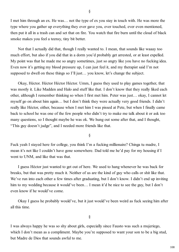I met him through an ex. He was… not the type of ex you stay in touch with. He was more the type where you gather up everything they ever gave you, ever touched, ever even mentioned, then put it all in a trash can and set that on fire. You watch that fire burn until the cloud of black smoke makes you feel a teensy, tiny bit better.

Not that I actually did that, though I really wanted to. I mean, that sounds like waaay too much effort, but also if you did that in a dorm you'd probably get arrested, or at least expelled. My point was that he made me so angry sometimes, just so angry like you have no fucking idea. Even now it's getting my blood pressure up, I can just feel it, and my therapist said I'm not supposed to dwell on these things so I'll just... you know, let's change the subject.

Okay, Héctor. Héctor Héctor Héctor. Umm, I guess they used to play games together, that was mostly it. Like Madden and Halo and stuff like that. I don't know that they really liked each other, although I remember thinking so when I first met him. Peter was just… okay, I cannot let myself go on about him again… but I don't think they were actually very good friends. I didn't really like Héctor, either, because when I met him I was pissed at Pete, but when I finally came back to school he was one of the few people who didn't try to make me talk about it or ask too many questions, so I thought maybe he was ok. We hung out some after that, and I thought, "This guy doesn't judge", and I needed more friends like that.

§

Fuck yeah I stayed here for college, you think I'm a fucking millionaire? Chinga tu madre, I mean it's not like I couldn't have gone somewhere. Dad told me he'd pay for my housing if I went to UNM, and like that was that.

I guess Héctor just wanted to get out of here. We used to hang whenever he was back for breaks, but that was pretty much it. Neither of us are the kind of guy who calls or shit like that. We've run into each other a few times after graduating, but I don't know. I didn't end up inviting him to my wedding because it would've been… I mean it'd be nice to see the guy, but I don't even know if he would've come.

Okay I guess he probably would've, but it just would've been weird as fuck seeing him after all this time.

§

I was always happy he was so shy about girls, especially since Fausto was such a mujeriego, which I don't mean as a compliment. Maybe you're supposed to want your son to be a big stud, but Madre de Dios that sounds awful to me.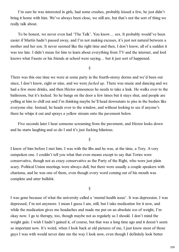I'm sure he was interested in girls, had some crushes, probably kissed a few, he just didn't bring it home with him. We've always been close, we still are, but that's not the sort of thing we really talk about.

To be honest, we never even had 'The Talk'. You know… sex. It probably would've been easier if Martín hadn't passed away, and I'm not making excuses, it's just not natural between a mother and her son. It never seemed like the right time and then, I don't know, all of a sudden it was too late. I didn't mean for him to learn about everything from TV and the internet, and lord knows what Fausto or his friends at school were saying… but it just sort of happened.

## §

There was this one time we were at some party in the fourth-storey dorms and we'd been out since, I don't know, eight or nine, and we were *fucked up*. There was music and dancing and we had a few more drinks, and then Héctor announces he needs to take a leak. He walks over to the bathroom, but it's locked. So he bangs on the door a few times but it stays shut, and people are yelling at him to chill out and I'm thinking maybe he'll head downstairs to piss in the bushes like everyone else. Instead, he heads over to the window, and without looking to see if anyone's there he whips it out and sprays a yellow stream onto the pavement below.

Five seconds later I hear someone screaming from the pavement, and Héctor looks down and he starts laughing and so do I and it's just fucking hilarious.

§

I knew of him before I met him. I was with the libs and he was, at the time, a Tory. A very outspoken one. I couldn't tell you what that even means except to say that Tories were conservative, though not as crazy conservative as the Party of the Right, who were just plain scary. Political Union meetings were always dull, but there were usually a couple speakers with charisma, and he was one of them, even though every word coming out of his mouth was complete and utter bullshit.

§

I was gone because of what the university called a 'mental health issue'. It was depression. I was depressed, I'm not anymore. I mean I guess I am, still, but I take medication for it now, and while the medication gives me headaches and made me put on an absolute *ton* of weight, I'm okay now. I go to therapy, too, though maybe not as regularly as I should. I don't mind the weight gain. I wish I hadn't gained it, of course, but that was a long time ago and it doesn't seem so important now. It's weird, when I look back at old pictures of me, I just know most of those guys I was with would never date me the way I look now, even though I definitely look better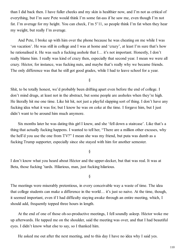than I did back then. I have fuller cheeks and my skin is healthier now, and I'm not as critical of everything, but I'm sure Pete would think I'm some fat-ass if he saw me, even though I'm not fat. I'm average for my height. You can check, I'm 5'11, so people think I'm fat when they hear my weight, but really I'm average.

And Pete, I broke up with him over the phone because he was cheating on me while I was 'on vacation'. He was still in college and I was at home and 'crazy', at least I'm sure that's how he rationalised it. He was such a fucking asshole that I… it's not important. Honestly, I don't really blame him. I really was kind of crazy then, especially that second year. I mean we were all crazy. Héctor, for instance, was fucking nuts, and maybe that's really why we became friends. The only difference was that he still got good grades, while I had to leave school for a year.

§

Shit, to be totally honest, we'd probably been drifting apart even before the end of college. I don't mind drugs, at least not in the abstract, but some people are assholes when they're high. He literally hit me one time. Like hit hit, not just a playful slapping sort of thing. I don't have any fucking idea what it was for, but I know he was on coke at the time. I forgave him, but I just didn't want to be around him much anymore.

Six months later he was dating this girl I knew, and she 'fell down a staircase'. Like that's a thing that actually fucking happens. I wanted to tell her, "There are a million other excuses, why the hell'd you use the one from TV?" I mean she was my friend, but puta was dumb as a fucking Trump supporter, especially since she stayed with him for another semester.

§

I don't know what you heard about Héctor and the upper-decker, but that was real. It was at Beta, those fucking 'tards. Hilarious, man, just fucking hilarious.

§

The meetings were miserably pretentious, in every conceivable way a waste of time. The idea that college students can make a difference in the world… it's just so naive. At the time, though, it seemed important, even if I had difficulty staying awake through an entire meeting, which, I should add, frequently topped three hours in length.

At the end of one of those oh-so-productive meetings, I fell soundly asleep. Héctor woke me up afterwards. He tapped me on the shoulder, said the meeting was over, and that I had beautiful eyes. I didn't know what else to say, so I thanked him.

He asked me out after the next meeting, and to this day I have no idea why I said yes.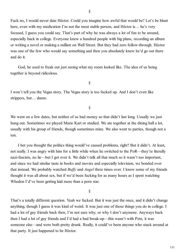Fuck no, I would never date Héctor. Could you imagine how awful that would be? Let's be blunt here, even with my medication I'm not the most stable person, and Héctor is... he's very focused, I guess you could say. That's part of why he was always a lot of fun to be around, especially back in college. Everyone knew a hundred people with big plans, recording an album or writing a novel or making a million on Wall Street. But they had zero follow-through. Héctor was one of the few who would say something and then you absolutely knew he'd go out there and do it.

God, he used to freak out just seeing what my room looked like. The idea of us being together is beyond ridiculous.

§

I won't tell you the Vegas story. The Vegas story is too fucked up. And I don't even like strippers, but… damn.

§

We went on a few dates, but neither of us had money so that didn't last long. Usually we just hung out. Sometimes we played Mario Kart or studied. We ate together at the dining hall a lot, usually with his group of friends, though sometimes mine. We also went to parties, though not a ton.

I bet you thought the politics thing would've caused problems, right? But it didn't. At least, not really. I was angry with him for a little while when he switched to the PoR—they're literally nazi-fascists, no lie—but I got over it. We didn't talk all that much so it wasn't too important, and since we had similar taste in books and movies and especially television, we bonded over that instead. We probably watched *Buffy* and *Angel* three times over. I know some of my friends thought it was all about sex, but if we'd been fucking for as many hours as I spent watching Whedon I'd've been getting laid more than a porn star.

§

That's a totally different question. Yeah we fucked. But it was just the once, and it didn't change anything, though I guess it was kind of weird. It was just one of those things you do in college. I had a lot of guy friends back then, I'm not sure why, or why I don't anymore. Anyways back then I had a lot of guy friends and I'd had a bad break-up—this wasn't with Pete, it was someone else—and were both pretty drunk. Really, it could've been anyone who stuck around at that party. It just happened to be Héctor.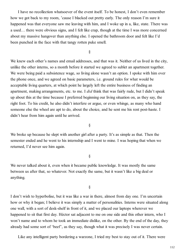I have no recollection whatsoever of the event itself. To be honest, I don't even remember how we got back to my room, 'cause I blacked out pretty early. The only reason I'm sure it happened was that everyone saw me leaving with him, and I woke up in a, like, state. There was a used… there were obvious signs, and I felt like crap, though at the time I was more concerned about my massive hangover than anything else. I opened the bathroom door and felt like I'd been punched in the face with that tangy rotten puke smell.

§

We knew each other's names and email addresses, and that was it. Neither of us lived in the city, unlike the other interns, so a month before it started we agreed to sublet an apartment together. We were being paid a subsistence wage, so living alone wasn't an option. I spoke with him over the phone once, and we agreed on basic parameters, i.e. ground rules for what would be acceptable living quarters, at which point he largely left the entire business of finding an apartment, making arrangements, etc. to me. I *did* think that was fairly rude, but I didn't speak up about this at the time because I preferred beginning our living situation on, as they say, the right foot. To his credit, he also didn't interfere or argue, or even whinge, as many who hand someone else the wheel are apt to do, about the choice, and he sent me his rent post-haste. I didn't hear from him again until he arrived.

§

We broke up because he slept with another girl after a party. It's as simple as that. Then the semester ended and he went to his internship and I went to mine. I was hoping that when we returned, I'd never see him again.

§

We never talked about it, even when it became public knowledge. It was mostly the same between us after that, so whatever. Not exactly the same, but it wasn't like a big deal or anything.

§

I don't wish to hyperbolise, but it was like a war in there, almost from day one. I'm uncertain how or why it began; I believe it was simply a matter of personalities. Interns were situated along one wall, with a sort of desk-shelf in front of it, and we placed our laptops wherever we happened to sit that first day. Héctor sat adjacent to me on one side and this other intern, who I won't name and to whom he took an immediate dislike, on the other. By the end of the day, they already had some sort of 'beef', as they say, though what it was precisely I was never certain.

Like any intelligent party bordering a warzone, I tried my best to stay out of it. There were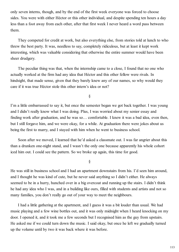only seven interns, though, and by the end of the first week everyone was forced to choose sides. You were with either Héctor or this other individual, and despite spending ten hours a day less than a foot away from each other, after that first week I never heard a word pass between them.

They competed for credit at work, but also everything else, from stories told at lunch to who threw the best party. It was, needless to say, completely ridiculous, but at least it kept work interesting, which was valuable considering that otherwise the entire summer would have been sheer drudgery.

The peculiar thing was that, when the internship came to a close, I found that no one who actually worked at the firm had any idea that Héctor and this other fellow were rivals. In hindsight, that made sense, given that they barely knew any of our names, so why would they care if it was true Héctor stole this other intern's idea or not?

§

I'm a little embarrassed to say it, but once the semester began we got back together. I was young and I didn't really know what I was doing. Plus, I was worried about my senior essay and finding work after graduation, and he was so… comfortable. I knew it was a bad idea, even then, but I still forgave him, and we were okay, for a while. At graduation there were jokes about us being the first to marry, and I stayed with him when he went to business school.

Soon after we moved, I learned that he'd asked a classmate out. I was far angrier about this than a drunken one-night stand, and I wasn't the only one because apparently his whole cohort iced him out. I could see the pattern. So we broke up again, this time for good.

§

He was still in business school and I had an apartment downstairs from his. I'd seen him around, and I thought he was kind of cute, but he never said anything so I didn't either. He always seemed to be in a hurry, hunched over in a big overcoat and running up the stairs. I didn't think he had any idea who I was, and in a building like ours, filled with students and artists and not so many families, you don't really go out of your way to meet the neighbours.

I had a little gathering at the apartment, and I guess it was a bit louder than usual. We had music playing and a few wine bottles out, and it was only midnight when I heard knocking on my door. I opened it, and it took me a few seconds but I recognised him as the guy from upstairs. He asked me if we could turn down the music. I said okay, but once he left we gradually turned up the volume until by two it was back where it was before.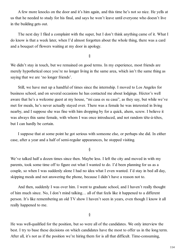A few more knocks on the door and it's him again, and this time he's not so nice. He yells at us that he needed to study for his final, and says he won't leave until everyone who doesn't live in the building gets out.

The next day I filed a complaint with the super, but I don't think anything came of it. What I do know is that a week later, when I'd almost forgotten about the whole thing, there was a card and a bouquet of flowers waiting at my door in apology.

§

We didn't stay in touch, but we remained on good terms. In my experience, most friends are merely hypothetical once you're no longer living in the same area, which isn't the same thing as saying that we are 'no longer friends'.

Still, we have met up a handful of times since the internship. I moved to Los Angeles for business school, and on several occasions he has contacted me about lodgings. Héctor's well aware that he's a welcome guest at my house, "mi casa es su casa", as they say, but while we've met for meals, he's never actually stayed over. There was a female he was interested in living nearby, and I suppose she was fine with him dropping by for a quick, ahem, screw. I believe it was always this same female, with whom I was once introduced, and not random tête-à-têtes, but I can hardly be certain.

I suppose that at some point he got serious with someone else, or perhaps she did. In either case, after a year and a half of semi-regular appearances, he stopped visiting.

§

We've talked half a dozen times since then. Maybe less. I left the city and moved in with my parents, took some time off to figure out what I wanted to do. I'd been planning for us as a couple, so when I was suddenly alone I had no idea what I even wanted. I'd stay in bed all day, skipping meals and not answering the phone, because I didn't have a reason not to.

And then, suddenly I was over him. I went to graduate school, and I haven't really thought of him much since. No, I don't mind talking… all of that feels like it happened to a different person. It's like remembering an old TV show I haven't seen in years, even though I know it all really happened to me.

§

He was well-qualified for the position, but so were all of the candidates. We only interview the best. I try to base these decisions on which candidates have the most to offer us in the long term. After all, it's not as if the position we're hiring them for is all that difficult. Time-consuming,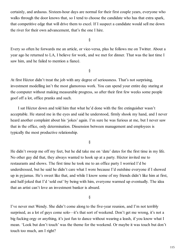certainly, and arduous. Sixteen-hour days are normal for their first couple years, everyone who walks through the door knows that, so I tend to choose the candidate who has that extra spark, that competitive edge that will drive them to excel. If I suspect a candidate would sell me down the river for their own advancement, that's the one I hire.

§

Every so often he forwards me an article, or vice-versa, plus he follows me on Twitter. About a year ago he returned to LA, I believe for work, and we met for dinner. That was the last time I saw him, and he failed to mention a fiancé.

§

At first Héctor didn't treat the job with any degree of seriousness. That's not surprising, investment modelling isn't the most glamorous work. You can spend your entire day staring at the computer without making measurable progress, so after their first few weeks some people goof off a lot, office pranks and such.

I sat Héctor down and told him that what he'd done with the fire extinguisher wasn't acceptable. He stared me in the eyes and said he understood, firmly shook my hand, and I never heard another complaint about his 'jokes' again. I'm sure he was furious at me, but I never saw that in the office, only determination. Dissension between management and employees is typically the most productive relationship.

§

He didn't sweep me off my feet, but he did take me on 'date' dates for the first time in my life. No other guy did that, they always wanted to hook up at a party. Héctor invited me to restaurants and shows. The first time he took me to an office party I worried I'd be underdressed, but he said he didn't care what I wore because I'd outshine everyone if I showed up in pyjamas. He's sweet like that, and while I know some of my friends didn't like him at first, and half-joked that I'd 'sold out' by being with him, everyone warmed up eventually. The idea that an artist can't love an investment banker is absurd.

§

I've never met Wendy. She didn't come along to the five-year reunion, and I'm not terribly surprised, as a lot of guys come solo—it's that sort of weekend. Don't get me wrong, it's not a big fucking orgy or anything, it's just fun to dance without wearing a leash, if you know what I mean. 'Look but don't touch' was the theme for the weekend. Or maybe it was touch but don't touch too much, am I right?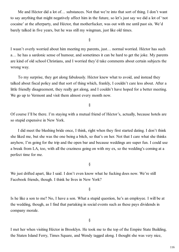Me and Héctor did a lot of… substances. Not that we're into that sort of thing. I don't want to say anything that might negatively affect him in the future, so let's just say we did a lot of 'not cocaine' at the afterparty, and Héctor, that motherfucker, was out with me until past six. We'd barely talked in five years, but he was still my wingman, just like old times.

§

I wasn't overly worried about him meeting my parents, just… normal worried. Héctor has such a… he has a sardonic sense of humour, and sometimes it can be hard to get the joke. My parents are kind of old school Christians, and I worried they'd take comments about certain subjects the wrong way.

To my surprise, they got along fabulously. Héctor knew what to avoid, and instead they talked about fiscal policy and that sort of thing which, frankly, I couldn't care less about. After a little friendly disagreement, they really got along, and I couldn't have hoped for a better meeting. We go up to Vermont and visit them almost every month now.

§

Of course I'll be there. I'm staying with a mutual friend of Héctor's, actually, because hotels are so stupid expensive in New York.

I did meet the blushing bride once, I think, right when they first started dating. I don't think she liked me, but she was the one being a bitch, so that's on her. Not that I care what she thinks anyhow, I'm going for the trip and the open bar and because weddings are super fun. I could use a break from LA, too, with all the craziness going on with my ex, so the wedding's coming at a perfect time for me.

§

We just drifted apart, like I said. I don't even know what he fucking does now. We're still Facebook friends, though. I think he lives in New York?

§

Is he like a son to me? No, I have a son. What a stupid question, he's an employee. I will be at the wedding, though, as I find that partaking in social events such as these pays dividends in company morale.

§

I met her when visiting Héctor in Brooklyn. He took me to the top of the Empire State Building, the Staten Island Ferry, Times Square, and Wendy tagged along. I thought she was very nice,